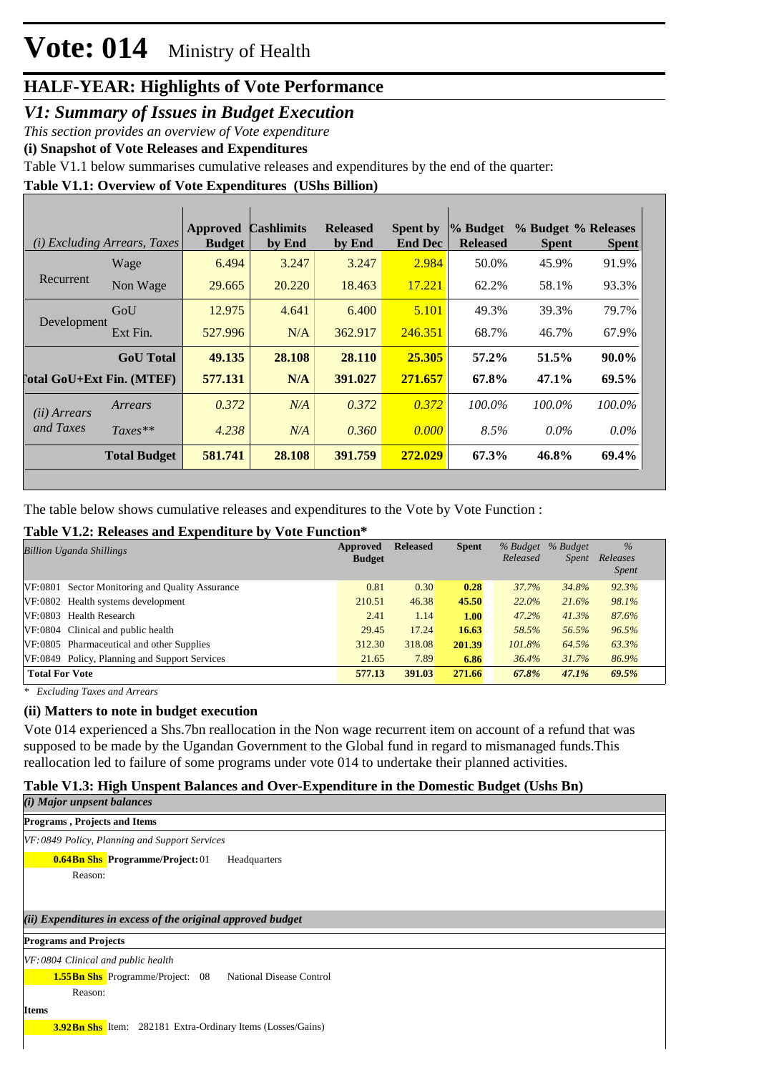### *V1: Summary of Issues in Budget Execution*

*This section provides an overview of Vote expenditure* 

**(i) Snapshot of Vote Releases and Expenditures**

Table V1.1 below summarises cumulative releases and expenditures by the end of the quarter:

**Table V1.1: Overview of Vote Expenditures (UShs Billion)**

|                       | (i) Excluding Arrears, Taxes | <b>Approved</b><br><b>Budget</b> | <b>Cashlimits</b><br>by End | <b>Released</b><br>by End | <b>Spent by</b><br><b>End Dec</b> | % Budget<br><b>Released</b> | % Budget % Releases<br><b>Spent</b> | <b>Spent</b> |
|-----------------------|------------------------------|----------------------------------|-----------------------------|---------------------------|-----------------------------------|-----------------------------|-------------------------------------|--------------|
|                       | Wage                         | 6.494                            | 3.247                       | 3.247                     | 2.984                             | 50.0%                       | 45.9%                               | 91.9%        |
| Recurrent             | Non Wage                     | 29.665                           | 20.220                      | 18.463                    | 17.221                            | 62.2%                       | 58.1%                               | 93.3%        |
|                       | GoU                          | 12.975                           | 4.641                       | 6.400                     | 5.101                             | 49.3%                       | 39.3%                               | 79.7%        |
| Development           | Ext Fin.                     | 527.996                          | N/A                         | 362.917                   | 246.351                           | 68.7%                       | 46.7%                               | 67.9%        |
|                       | <b>GoU</b> Total             | 49.135                           | 28.108                      | 28.110                    | 25.305                            | 57.2%                       | 51.5%                               | $90.0\%$     |
|                       | [`otal GoU+Ext Fin. (MTEF)   | 577.131                          | N/A                         | 391.027                   | 271.657                           | 67.8%                       | 47.1%                               | 69.5%        |
| ( <i>ii</i> ) Arrears | Arrears                      | 0.372                            | N/A                         | 0.372                     | 0.372                             | 100.0%                      | 100.0%                              | $100.0\%$    |
| and Taxes             | $Taxes**$                    | 4.238                            | N/A                         | 0.360                     | 0.000                             | 8.5%                        | $0.0\%$                             | $0.0\%$      |
|                       | <b>Total Budget</b>          | 581.741                          | 28.108                      | 391.759                   | 272.029                           | 67.3%                       | 46.8%                               | 69.4%        |

The table below shows cumulative releases and expenditures to the Vote by Vote Function :

### **Table V1.2: Releases and Expenditure by Vote Function\***

| <b>Billion Uganda Shillings</b>                 | Approved<br><b>Budget</b> | <b>Released</b> | <b>Spent</b> | % Budget<br>Released | % Budget<br><i>Spent</i> | $\frac{0}{6}$<br>Releases<br><i>Spent</i> |
|-------------------------------------------------|---------------------------|-----------------|--------------|----------------------|--------------------------|-------------------------------------------|
| VF:0801 Sector Monitoring and Quality Assurance | 0.81                      | 0.30            | 0.28         | 37.7%                | 34.8%                    | 92.3%                                     |
| VF:0802 Health systems development              | 210.51                    | 46.38           | 45.50        | $22.0\%$             | 21.6%                    | 98.1%                                     |
| VF:0803 Health Research                         | 2.41                      | 1.14            | <b>1.00</b>  | 47.2%                | 41.3%                    | 87.6%                                     |
| VF:0804 Clinical and public health              | 29.45                     | 17.24           | 16.63        | 58.5%                | 56.5%                    | 96.5%                                     |
| VF:0805 Pharmaceutical and other Supplies       | 312.30                    | 318.08          | 201.39       | 101.8%               | 64.5%                    | 63.3%                                     |
| VF:0849 Policy, Planning and Support Services   | 21.65                     | 7.89            | 6.86         | 36.4%                | 31.7%                    | 86.9%                                     |
| <b>Total For Vote</b>                           | 577.13                    | 391.03          | 271.66       | 67.8%                | 47.1%                    | 69.5%                                     |

*\* Excluding Taxes and Arrears*

### **(ii) Matters to note in budget execution**

Vote 014 experienced a Shs.7bn reallocation in the Non wage recurrent item on account of a refund that was supposed to be made by the Ugandan Government to the Global fund in regard to mismanaged funds.This reallocation led to failure of some programs under vote 014 to undertake their planned activities.

#### **Table V1.3: High Unspent Balances and Over-Expenditure in the Domestic Budget (Ushs Bn)**  $(1)$  Major unpsent balances balances balances balances balances balances balances balances balances balances balances balances balances balances balances balances balances balances balances balances balances balances bal

| ( <i>v</i> ) major unpsent batances                                 |
|---------------------------------------------------------------------|
| Programs, Projects and Items                                        |
| VF: 0849 Policy, Planning and Support Services                      |
| <b>0.64Bn Shs Programme/Project: 01</b><br>Headquarters             |
| Reason:                                                             |
|                                                                     |
| (ii) Expenditures in excess of the original approved budget         |
| <b>Programs and Projects</b>                                        |
| $VF: 0804$ Clinical and public health                               |
| <b>1.55Bn Shs</b> Programme/Project: 08<br>National Disease Control |
| Reason:                                                             |
| <b>Items</b>                                                        |
| <b>3.92Bn Shs</b> Item: 282181 Extra-Ordinary Items (Losses/Gains)  |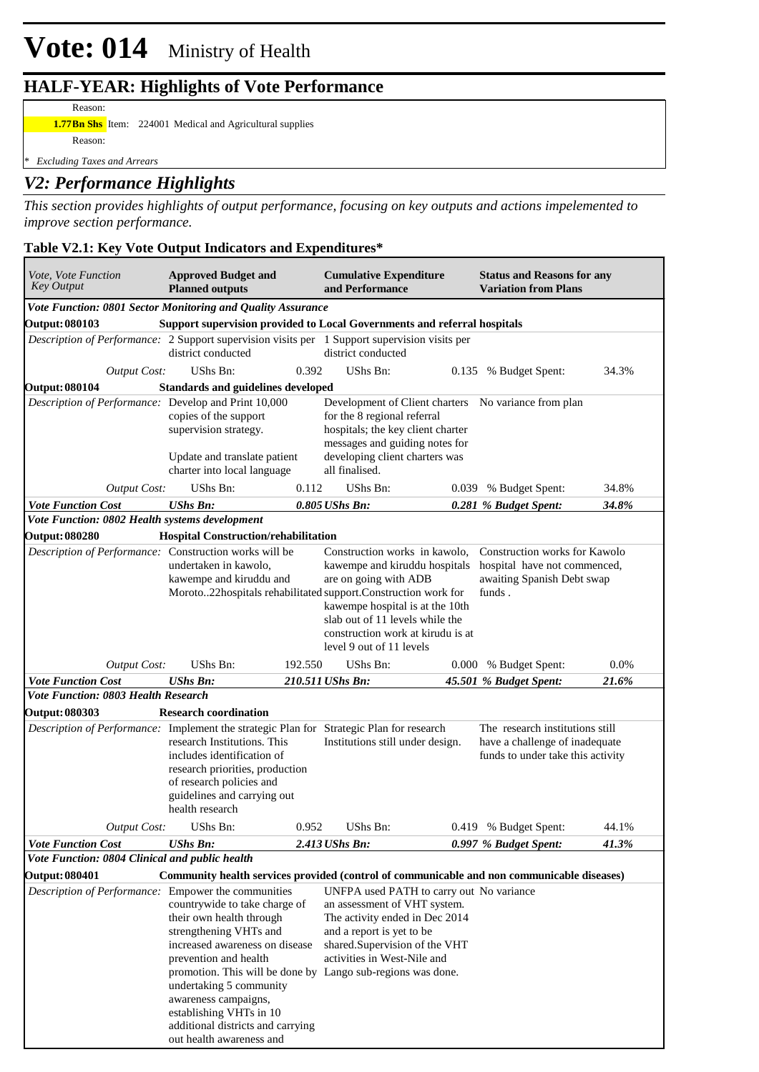### **HALF-YEAR: Highlights of Vote Performance**

Reason:

**1.77Bn Shs** Item: 224001 Medical and Agricultural supplies Reason:

*\* Excluding Taxes and Arrears*

## *V2: Performance Highlights*

*This section provides highlights of output performance, focusing on key outputs and actions impelemented to improve section performance.*

### **Table V2.1: Key Vote Output Indicators and Expenditures\***

| Vote, Vote Function<br><b>Key Output</b>                                                      | <b>Approved Budget and</b><br><b>Planned outputs</b>                                                                                                                       |         | <b>Cumulative Expenditure</b><br>and Performance                                                                                                                                                                                                                                                | <b>Status and Reasons for any</b><br><b>Variation from Plans</b>                                       |       |
|-----------------------------------------------------------------------------------------------|----------------------------------------------------------------------------------------------------------------------------------------------------------------------------|---------|-------------------------------------------------------------------------------------------------------------------------------------------------------------------------------------------------------------------------------------------------------------------------------------------------|--------------------------------------------------------------------------------------------------------|-------|
| Vote Function: 0801 Sector Monitoring and Quality Assurance                                   |                                                                                                                                                                            |         |                                                                                                                                                                                                                                                                                                 |                                                                                                        |       |
| <b>Output: 080103</b>                                                                         |                                                                                                                                                                            |         | Support supervision provided to Local Governments and referral hospitals                                                                                                                                                                                                                        |                                                                                                        |       |
| Description of Performance: 2 Support supervision visits per 1 Support supervision visits per | district conducted                                                                                                                                                         |         | district conducted                                                                                                                                                                                                                                                                              |                                                                                                        |       |
| <b>Output Cost:</b>                                                                           | UShs Bn:                                                                                                                                                                   | 0.392   | UShs Bn:                                                                                                                                                                                                                                                                                        | 0.135 % Budget Spent:                                                                                  | 34.3% |
| <b>Output: 080104</b>                                                                         | <b>Standards and guidelines developed</b>                                                                                                                                  |         |                                                                                                                                                                                                                                                                                                 |                                                                                                        |       |
| Description of Performance: Develop and Print 10,000                                          | copies of the support<br>supervision strategy.<br>Update and translate patient<br>charter into local language                                                              |         | Development of Client charters No variance from plan<br>for the 8 regional referral<br>hospitals; the key client charter<br>messages and guiding notes for<br>developing client charters was<br>all finalised.                                                                                  |                                                                                                        |       |
| <b>Output Cost:</b>                                                                           | UShs Bn:                                                                                                                                                                   | 0.112   | UShs Bn:                                                                                                                                                                                                                                                                                        | 0.039 % Budget Spent:                                                                                  | 34.8% |
| <b>Vote Function Cost</b><br>Vote Function: 0802 Health systems development                   | <b>UShs Bn:</b>                                                                                                                                                            |         | $0.805$ UShs Bn:                                                                                                                                                                                                                                                                                | 0.281 % Budget Spent:                                                                                  | 34.8% |
| <b>Output: 080280</b>                                                                         | <b>Hospital Construction/rehabilitation</b>                                                                                                                                |         |                                                                                                                                                                                                                                                                                                 |                                                                                                        |       |
| Description of Performance: Construction works will be                                        | undertaken in kawolo,<br>kawempe and kiruddu and                                                                                                                           |         | Construction works in kawolo,<br>kawempe and kiruddu hospitals<br>are on going with ADB<br>Moroto22hospitals rehabilitated support.Construction work for<br>kawempe hospital is at the 10th<br>slab out of 11 levels while the<br>construction work at kirudu is at<br>level 9 out of 11 levels | Construction works for Kawolo<br>hospital have not commenced,<br>awaiting Spanish Debt swap<br>funds.  |       |
| <b>Output Cost:</b>                                                                           | <b>UShs Bn:</b>                                                                                                                                                            | 192.550 | UShs Bn:                                                                                                                                                                                                                                                                                        | 0.000 % Budget Spent:                                                                                  | 0.0%  |
| <b>Vote Function Cost</b>                                                                     | <b>UShs Bn:</b>                                                                                                                                                            |         | 210.511 UShs Bn:                                                                                                                                                                                                                                                                                | 45.501 % Budget Spent:                                                                                 | 21.6% |
| <b>Vote Function: 0803 Health Research</b>                                                    |                                                                                                                                                                            |         |                                                                                                                                                                                                                                                                                                 |                                                                                                        |       |
| <b>Output: 080303</b>                                                                         | <b>Research coordination</b>                                                                                                                                               |         |                                                                                                                                                                                                                                                                                                 |                                                                                                        |       |
| Description of Performance: Implement the strategic Plan for Strategic Plan for research      | research Institutions. This<br>includes identification of<br>research priorities, production<br>of research policies and<br>guidelines and carrying out<br>health research |         | Institutions still under design.                                                                                                                                                                                                                                                                | The research institutions still<br>have a challenge of inadequate<br>funds to under take this activity |       |
| <b>Output Cost:</b>                                                                           | UShs Bn:                                                                                                                                                                   | 0.952   | UShs Bn:                                                                                                                                                                                                                                                                                        | 0.419 % Budget Spent:                                                                                  | 44.1% |
| <b>Vote Function Cost</b>                                                                     | <b>UShs Bn:</b>                                                                                                                                                            |         | 2.413 UShs Bn:                                                                                                                                                                                                                                                                                  | 0.997 % Budget Spent:                                                                                  | 41.3% |
| Vote Function: 0804 Clinical and public health                                                |                                                                                                                                                                            |         |                                                                                                                                                                                                                                                                                                 |                                                                                                        |       |
|                                                                                               |                                                                                                                                                                            |         |                                                                                                                                                                                                                                                                                                 |                                                                                                        |       |
| <b>Output: 080401</b>                                                                         |                                                                                                                                                                            |         | Community health services provided (control of communicable and non communicable diseases)                                                                                                                                                                                                      |                                                                                                        |       |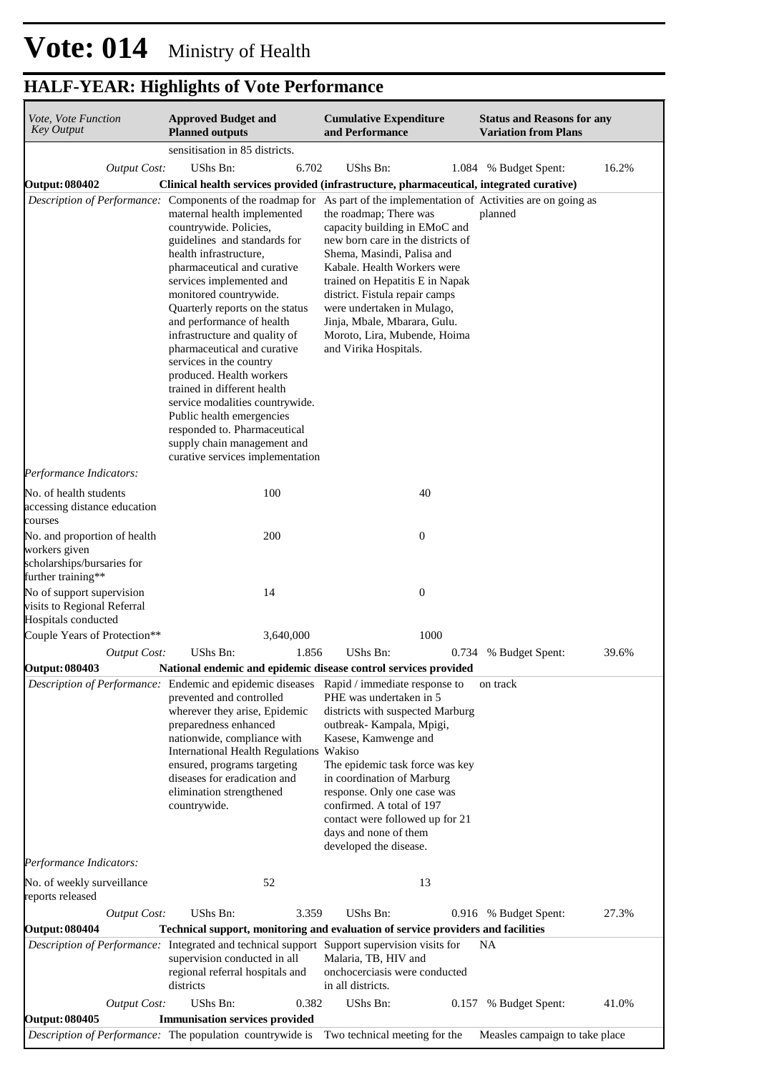| Vote, Vote Function<br><b>Key Output</b>                                                          | <b>Approved Budget and</b><br><b>Planned outputs</b>                                                                                                                                                                                                                                                                                                                                                                                                                                                                                                                                          | <b>Cumulative Expenditure</b><br>and Performance                                                                                                                                                                                                                                                                                                                                                                                                                               | <b>Status and Reasons for any</b><br><b>Variation from Plans</b> |
|---------------------------------------------------------------------------------------------------|-----------------------------------------------------------------------------------------------------------------------------------------------------------------------------------------------------------------------------------------------------------------------------------------------------------------------------------------------------------------------------------------------------------------------------------------------------------------------------------------------------------------------------------------------------------------------------------------------|--------------------------------------------------------------------------------------------------------------------------------------------------------------------------------------------------------------------------------------------------------------------------------------------------------------------------------------------------------------------------------------------------------------------------------------------------------------------------------|------------------------------------------------------------------|
|                                                                                                   | sensitisation in 85 districts.                                                                                                                                                                                                                                                                                                                                                                                                                                                                                                                                                                |                                                                                                                                                                                                                                                                                                                                                                                                                                                                                |                                                                  |
| <b>Output Cost:</b>                                                                               | UShs Bn:                                                                                                                                                                                                                                                                                                                                                                                                                                                                                                                                                                                      | 6.702<br>UShs Bn:                                                                                                                                                                                                                                                                                                                                                                                                                                                              | 16.2%<br>1.084 % Budget Spent:                                   |
| <b>Output: 080402</b>                                                                             |                                                                                                                                                                                                                                                                                                                                                                                                                                                                                                                                                                                               | Clinical health services provided (infrastructure, pharmaceutical, integrated curative)                                                                                                                                                                                                                                                                                                                                                                                        |                                                                  |
|                                                                                                   | maternal health implemented<br>countrywide. Policies,<br>guidelines and standards for<br>health infrastructure,<br>pharmaceutical and curative<br>services implemented and<br>monitored countrywide.<br>Quarterly reports on the status<br>and performance of health<br>infrastructure and quality of<br>pharmaceutical and curative<br>services in the country<br>produced. Health workers<br>trained in different health<br>service modalities countrywide.<br>Public health emergencies<br>responded to. Pharmaceutical<br>supply chain management and<br>curative services implementation | Description of Performance: Components of the roadmap for As part of the implementation of Activities are on going as<br>the roadmap; There was<br>capacity building in EMoC and<br>new born care in the districts of<br>Shema, Masindi, Palisa and<br>Kabale. Health Workers were<br>trained on Hepatitis E in Napak<br>district. Fistula repair camps<br>were undertaken in Mulago,<br>Jinja, Mbale, Mbarara, Gulu.<br>Moroto, Lira, Mubende, Hoima<br>and Virika Hospitals. | planned                                                          |
| Performance Indicators:                                                                           |                                                                                                                                                                                                                                                                                                                                                                                                                                                                                                                                                                                               |                                                                                                                                                                                                                                                                                                                                                                                                                                                                                |                                                                  |
| No. of health students<br>accessing distance education<br>courses                                 | 100                                                                                                                                                                                                                                                                                                                                                                                                                                                                                                                                                                                           | 40                                                                                                                                                                                                                                                                                                                                                                                                                                                                             |                                                                  |
| No. and proportion of health<br>workers given<br>scholarships/bursaries for<br>further training** | 200                                                                                                                                                                                                                                                                                                                                                                                                                                                                                                                                                                                           | $\boldsymbol{0}$                                                                                                                                                                                                                                                                                                                                                                                                                                                               |                                                                  |
| No of support supervision<br>visits to Regional Referral<br>Hospitals conducted                   | 14                                                                                                                                                                                                                                                                                                                                                                                                                                                                                                                                                                                            | $\boldsymbol{0}$                                                                                                                                                                                                                                                                                                                                                                                                                                                               |                                                                  |
| Couple Years of Protection**                                                                      | 3,640,000                                                                                                                                                                                                                                                                                                                                                                                                                                                                                                                                                                                     | 1000                                                                                                                                                                                                                                                                                                                                                                                                                                                                           |                                                                  |
| <b>Output Cost:</b>                                                                               | UShs Bn:                                                                                                                                                                                                                                                                                                                                                                                                                                                                                                                                                                                      | 1.856<br>UShs Bn:<br>0.734                                                                                                                                                                                                                                                                                                                                                                                                                                                     | 39.6%<br>% Budget Spent:                                         |
| <b>Output: 080403</b>                                                                             |                                                                                                                                                                                                                                                                                                                                                                                                                                                                                                                                                                                               | National endemic and epidemic disease control services provided                                                                                                                                                                                                                                                                                                                                                                                                                |                                                                  |
|                                                                                                   | prevented and controlled<br>wherever they arise, Epidemic<br>preparedness enhanced<br>nationwide, compliance with<br>International Health Regulations Wakiso<br>ensured, programs targeting<br>diseases for eradication and<br>elimination strengthened<br>countrywide.                                                                                                                                                                                                                                                                                                                       | Description of Performance: Endemic and epidemic diseases Rapid / immediate response to<br>PHE was undertaken in 5<br>districts with suspected Marburg<br>outbreak- Kampala, Mpigi,<br>Kasese, Kamwenge and<br>The epidemic task force was key<br>in coordination of Marburg<br>response. Only one case was<br>confirmed. A total of 197<br>contact were followed up for 21<br>days and none of them<br>developed the disease.                                                 | on track                                                         |
| Performance Indicators:                                                                           |                                                                                                                                                                                                                                                                                                                                                                                                                                                                                                                                                                                               |                                                                                                                                                                                                                                                                                                                                                                                                                                                                                |                                                                  |
| No. of weekly surveillance<br>reports released                                                    | 52                                                                                                                                                                                                                                                                                                                                                                                                                                                                                                                                                                                            | 13                                                                                                                                                                                                                                                                                                                                                                                                                                                                             |                                                                  |
| <b>Output Cost:</b>                                                                               | UShs Bn:                                                                                                                                                                                                                                                                                                                                                                                                                                                                                                                                                                                      | UShs Bn:<br>3.359                                                                                                                                                                                                                                                                                                                                                                                                                                                              | 27.3%<br>0.916 % Budget Spent:                                   |
| <b>Output: 080404</b>                                                                             |                                                                                                                                                                                                                                                                                                                                                                                                                                                                                                                                                                                               | Technical support, monitoring and evaluation of service providers and facilities                                                                                                                                                                                                                                                                                                                                                                                               |                                                                  |
|                                                                                                   | supervision conducted in all<br>regional referral hospitals and<br>districts                                                                                                                                                                                                                                                                                                                                                                                                                                                                                                                  | Description of Performance: Integrated and technical support Support supervision visits for<br>Malaria, TB, HIV and<br>onchocerciasis were conducted<br>in all districts.                                                                                                                                                                                                                                                                                                      | NA.                                                              |
| <b>Output Cost:</b>                                                                               | UShs Bn:                                                                                                                                                                                                                                                                                                                                                                                                                                                                                                                                                                                      | UShs Bn:<br>0.382                                                                                                                                                                                                                                                                                                                                                                                                                                                              | 41.0%<br>0.157 % Budget Spent:                                   |
| <b>Output: 080405</b>                                                                             | <b>Immunisation services provided</b>                                                                                                                                                                                                                                                                                                                                                                                                                                                                                                                                                         |                                                                                                                                                                                                                                                                                                                                                                                                                                                                                |                                                                  |
|                                                                                                   | Description of Performance: The population countrywide is                                                                                                                                                                                                                                                                                                                                                                                                                                                                                                                                     | Two technical meeting for the                                                                                                                                                                                                                                                                                                                                                                                                                                                  | Measles campaign to take place                                   |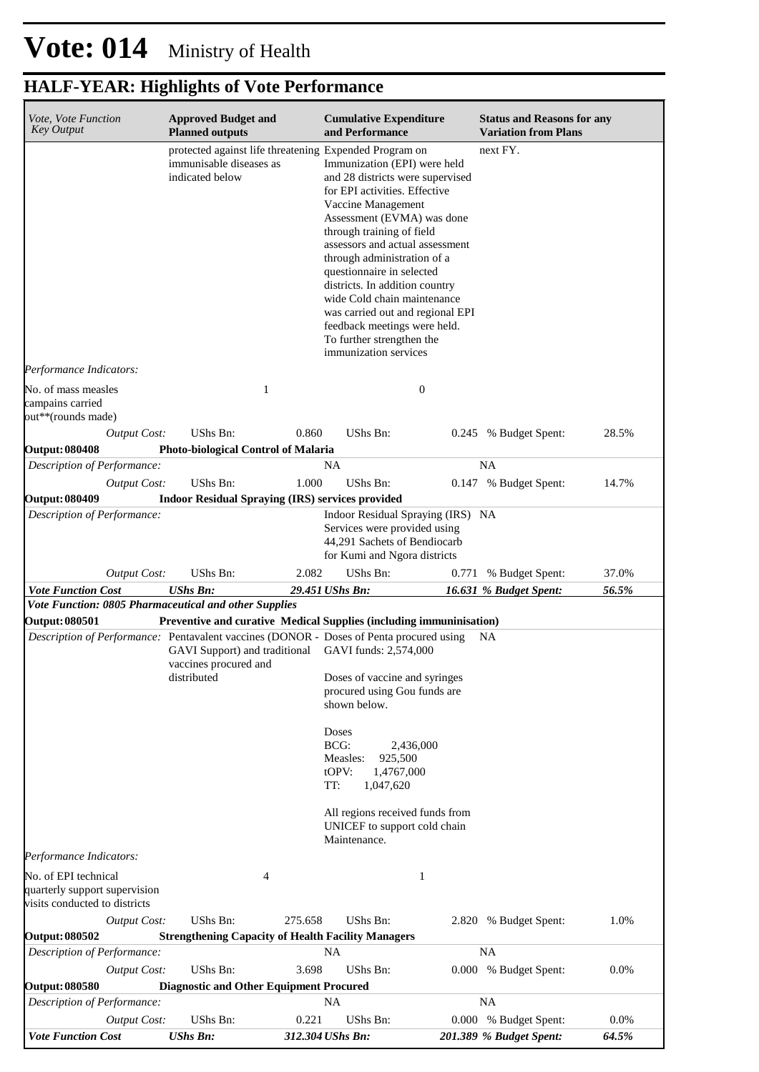| Vote, Vote Function                                                                                              | <b>Approved Budget and</b>                                                                                                                   |         | <b>Cumulative Expenditure</b>                                                                                                                                                                                                                                                                                                                                                                                                                                                |                  | <b>Status and Reasons for any</b> |       |
|------------------------------------------------------------------------------------------------------------------|----------------------------------------------------------------------------------------------------------------------------------------------|---------|------------------------------------------------------------------------------------------------------------------------------------------------------------------------------------------------------------------------------------------------------------------------------------------------------------------------------------------------------------------------------------------------------------------------------------------------------------------------------|------------------|-----------------------------------|-------|
| <b>Key Output</b>                                                                                                | <b>Planned outputs</b>                                                                                                                       |         | and Performance                                                                                                                                                                                                                                                                                                                                                                                                                                                              |                  | <b>Variation from Plans</b>       |       |
|                                                                                                                  | protected against life threatening Expended Program on<br>immunisable diseases as<br>indicated below                                         |         | Immunization (EPI) were held<br>and 28 districts were supervised<br>for EPI activities. Effective<br>Vaccine Management<br>Assessment (EVMA) was done<br>through training of field<br>assessors and actual assessment<br>through administration of a<br>questionnaire in selected<br>districts. In addition country<br>wide Cold chain maintenance<br>was carried out and regional EPI<br>feedback meetings were held.<br>To further strengthen the<br>immunization services |                  | next FY.                          |       |
| Performance Indicators:                                                                                          |                                                                                                                                              |         |                                                                                                                                                                                                                                                                                                                                                                                                                                                                              |                  |                                   |       |
| No. of mass measles<br>campains carried<br>out**(rounds made)                                                    | 1                                                                                                                                            |         |                                                                                                                                                                                                                                                                                                                                                                                                                                                                              | $\boldsymbol{0}$ |                                   |       |
| <b>Output Cost:</b>                                                                                              | UShs Bn:                                                                                                                                     | 0.860   | UShs Bn:                                                                                                                                                                                                                                                                                                                                                                                                                                                                     |                  | 0.245 % Budget Spent:             | 28.5% |
| <b>Output: 080408</b>                                                                                            | Photo-biological Control of Malaria                                                                                                          |         |                                                                                                                                                                                                                                                                                                                                                                                                                                                                              |                  |                                   |       |
| Description of Performance:                                                                                      |                                                                                                                                              |         | NA.                                                                                                                                                                                                                                                                                                                                                                                                                                                                          |                  | NA                                |       |
| <b>Output Cost:</b><br><b>Output: 080409</b>                                                                     | UShs Bn:<br><b>Indoor Residual Spraying (IRS) services provided</b>                                                                          | 1.000   | UShs Bn:                                                                                                                                                                                                                                                                                                                                                                                                                                                                     |                  | 0.147 % Budget Spent:             | 14.7% |
| Description of Performance:                                                                                      |                                                                                                                                              |         | Indoor Residual Spraying (IRS) NA<br>Services were provided using<br>44,291 Sachets of Bendiocarb<br>for Kumi and Ngora districts                                                                                                                                                                                                                                                                                                                                            |                  |                                   |       |
| <b>Output Cost:</b>                                                                                              | UShs Bn:                                                                                                                                     | 2.082   | UShs Bn:                                                                                                                                                                                                                                                                                                                                                                                                                                                                     |                  | 0.771 % Budget Spent:             | 37.0% |
| <b>Vote Function Cost</b>                                                                                        | <b>UShs Bn:</b>                                                                                                                              |         | 29.451 UShs Bn:                                                                                                                                                                                                                                                                                                                                                                                                                                                              |                  | 16.631 % Budget Spent:            | 56.5% |
| Vote Function: 0805 Pharmaceutical and other Supplies                                                            |                                                                                                                                              |         |                                                                                                                                                                                                                                                                                                                                                                                                                                                                              |                  |                                   |       |
| <b>Output: 080501</b><br>Description of Performance: Pentavalent vaccines (DONOR - Doses of Penta procured using | Preventive and curative Medical Supplies (including immuninisation)<br>GAVI Support) and traditional<br>vaccines procured and<br>distributed |         | GAVI funds: 2,574,000<br>Doses of vaccine and syringes<br>procured using Gou funds are<br>shown below.<br><b>Doses</b><br>BCG:<br>2,436,000<br>925,500<br>Measles:<br>tOPV:<br>1,4767,000<br>TT:<br>1,047,620<br>All regions received funds from<br>UNICEF to support cold chain<br>Maintenance.                                                                                                                                                                             |                  | NA.                               |       |
| Performance Indicators:                                                                                          |                                                                                                                                              |         |                                                                                                                                                                                                                                                                                                                                                                                                                                                                              |                  |                                   |       |
| No. of EPI technical<br>quarterly support supervision<br>visits conducted to districts                           | 4                                                                                                                                            |         |                                                                                                                                                                                                                                                                                                                                                                                                                                                                              | $\mathbf{1}$     |                                   |       |
| <b>Output Cost:</b>                                                                                              | UShs Bn:                                                                                                                                     | 275.658 | UShs Bn:                                                                                                                                                                                                                                                                                                                                                                                                                                                                     |                  | 2.820 % Budget Spent:             | 1.0%  |
| <b>Output: 080502</b>                                                                                            | <b>Strengthening Capacity of Health Facility Managers</b>                                                                                    |         |                                                                                                                                                                                                                                                                                                                                                                                                                                                                              |                  |                                   |       |
| Description of Performance:                                                                                      |                                                                                                                                              |         | <b>NA</b>                                                                                                                                                                                                                                                                                                                                                                                                                                                                    |                  | <b>NA</b>                         |       |
| <b>Output Cost:</b><br><b>Output: 080580</b>                                                                     | UShs Bn:                                                                                                                                     | 3.698   | UShs Bn:                                                                                                                                                                                                                                                                                                                                                                                                                                                                     |                  | 0.000 % Budget Spent:             | 0.0%  |
| Description of Performance:                                                                                      | <b>Diagnostic and Other Equipment Procured</b>                                                                                               |         | <b>NA</b>                                                                                                                                                                                                                                                                                                                                                                                                                                                                    |                  | <b>NA</b>                         |       |
| <b>Output Cost:</b>                                                                                              | UShs Bn:                                                                                                                                     | 0.221   | UShs Bn:                                                                                                                                                                                                                                                                                                                                                                                                                                                                     |                  | 0.000 % Budget Spent:             | 0.0%  |
| <b>Vote Function Cost</b>                                                                                        | <b>UShs Bn:</b>                                                                                                                              |         | 312.304 UShs Bn:                                                                                                                                                                                                                                                                                                                                                                                                                                                             |                  | 201.389 % Budget Spent:           | 64.5% |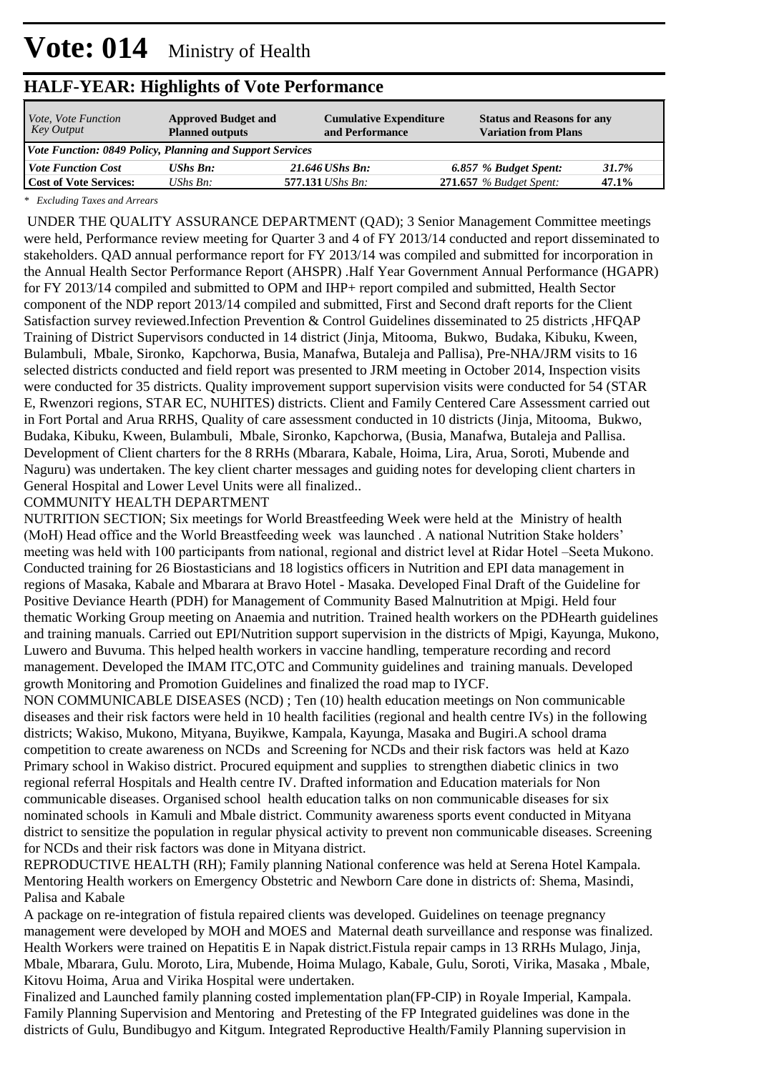| <i>Vote, Vote Function</i><br>Key Output | <b>Approved Budget and</b><br><b>Planned outputs</b>      | <b>Cumulative Expenditure</b><br>and Performance | <b>Status and Reasons for any</b><br><b>Variation from Plans</b> |       |  |  |  |  |  |  |
|------------------------------------------|-----------------------------------------------------------|--------------------------------------------------|------------------------------------------------------------------|-------|--|--|--|--|--|--|
|                                          | Vote Function: 0849 Policy, Planning and Support Services |                                                  |                                                                  |       |  |  |  |  |  |  |
| <i><b>Vote Function Cost</b></i>         | <b>UShs Bn:</b>                                           | 21.646 UShs Bn:                                  | 6.857 % Budget Spent:                                            | 31.7% |  |  |  |  |  |  |
| <b>Cost of Vote Services:</b>            | UShs $Bn$ :                                               | 577.131 <i>UShs Bn</i> :                         | $271.657$ % Budget Spent:                                        | 47.1% |  |  |  |  |  |  |

*\* Excluding Taxes and Arrears*

 UNDER THE QUALITY ASSURANCE DEPARTMENT (QAD); 3 Senior Management Committee meetings were held, Performance review meeting for Quarter 3 and 4 of FY 2013/14 conducted and report disseminated to stakeholders. QAD annual performance report for FY 2013/14 was compiled and submitted for incorporation in the Annual Health Sector Performance Report (AHSPR) .Half Year Government Annual Performance (HGAPR) for FY 2013/14 compiled and submitted to OPM and IHP+ report compiled and submitted, Health Sector component of the NDP report 2013/14 compiled and submitted, First and Second draft reports for the Client Satisfaction survey reviewed.Infection Prevention & Control Guidelines disseminated to 25 districts ,HFQAP Training of District Supervisors conducted in 14 district (Jinja, Mitooma, Bukwo, Budaka, Kibuku, Kween, Bulambuli, Mbale, Sironko, Kapchorwa, Busia, Manafwa, Butaleja and Pallisa), Pre-NHA/JRM visits to 16 selected districts conducted and field report was presented to JRM meeting in October 2014, Inspection visits were conducted for 35 districts. Quality improvement support supervision visits were conducted for 54 (STAR E, Rwenzori regions, STAR EC, NUHITES) districts. Client and Family Centered Care Assessment carried out in Fort Portal and Arua RRHS, Quality of care assessment conducted in 10 districts (Jinja, Mitooma, Bukwo, Budaka, Kibuku, Kween, Bulambuli, Mbale, Sironko, Kapchorwa, (Busia, Manafwa, Butaleja and Pallisa. Development of Client charters for the 8 RRHs (Mbarara, Kabale, Hoima, Lira, Arua, Soroti, Mubende and Naguru) was undertaken. The key client charter messages and guiding notes for developing client charters in General Hospital and Lower Level Units were all finalized..

#### COMMUNITY HEALTH DEPARTMENT

NUTRITION SECTION; Six meetings for World Breastfeeding Week were held at the Ministry of health (MoH) Head office and the World Breastfeeding week was launched . A national Nutrition Stake holders' meeting was held with 100 participants from national, regional and district level at Ridar Hotel –Seeta Mukono. Conducted training for 26 Biostasticians and 18 logistics officers in Nutrition and EPI data management in regions of Masaka, Kabale and Mbarara at Bravo Hotel - Masaka. Developed Final Draft of the Guideline for Positive Deviance Hearth (PDH) for Management of Community Based Malnutrition at Mpigi. Held four thematic Working Group meeting on Anaemia and nutrition. Trained health workers on the PDHearth guidelines and training manuals. Carried out EPI/Nutrition support supervision in the districts of Mpigi, Kayunga, Mukono, Luwero and Buvuma. This helped health workers in vaccine handling, temperature recording and record management. Developed the IMAM ITC,OTC and Community guidelines and training manuals. Developed growth Monitoring and Promotion Guidelines and finalized the road map to IYCF.

NON COMMUNICABLE DISEASES (NCD) ; Ten (10) health education meetings on Non communicable diseases and their risk factors were held in 10 health facilities (regional and health centre IVs) in the following districts; Wakiso, Mukono, Mityana, Buyikwe, Kampala, Kayunga, Masaka and Bugiri.A school drama competition to create awareness on NCDs and Screening for NCDs and their risk factors was held at Kazo Primary school in Wakiso district. Procured equipment and supplies to strengthen diabetic clinics in two regional referral Hospitals and Health centre IV. Drafted information and Education materials for Non communicable diseases. Organised school health education talks on non communicable diseases for six nominated schools in Kamuli and Mbale district. Community awareness sports event conducted in Mityana district to sensitize the population in regular physical activity to prevent non communicable diseases. Screening for NCDs and their risk factors was done in Mityana district.

REPRODUCTIVE HEALTH (RH); Family planning National conference was held at Serena Hotel Kampala. Mentoring Health workers on Emergency Obstetric and Newborn Care done in districts of: Shema, Masindi, Palisa and Kabale

A package on re-integration of fistula repaired clients was developed. Guidelines on teenage pregnancy management were developed by MOH and MOES and Maternal death surveillance and response was finalized. Health Workers were trained on Hepatitis E in Napak district.Fistula repair camps in 13 RRHs Mulago, Jinja, Mbale, Mbarara, Gulu. Moroto, Lira, Mubende, Hoima Mulago, Kabale, Gulu, Soroti, Virika, Masaka , Mbale, Kitovu Hoima, Arua and Virika Hospital were undertaken.

Finalized and Launched family planning costed implementation plan(FP-CIP) in Royale Imperial, Kampala. Family Planning Supervision and Mentoring and Pretesting of the FP Integrated guidelines was done in the districts of Gulu, Bundibugyo and Kitgum. Integrated Reproductive Health/Family Planning supervision in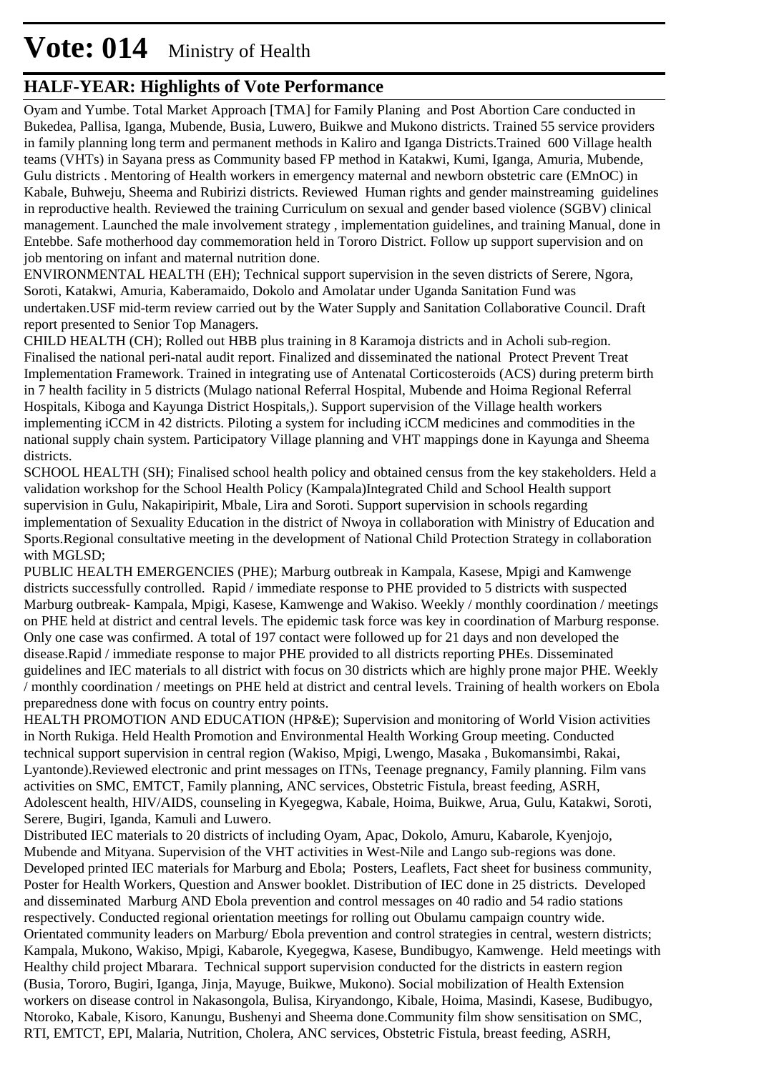### **HALF-YEAR: Highlights of Vote Performance**

Oyam and Yumbe. Total Market Approach [TMA] for Family Planing and Post Abortion Care conducted in Bukedea, Pallisa, Iganga, Mubende, Busia, Luwero, Buikwe and Mukono districts. Trained 55 service providers in family planning long term and permanent methods in Kaliro and Iganga Districts.Trained 600 Village health teams (VHTs) in Sayana press as Community based FP method in Katakwi, Kumi, Iganga, Amuria, Mubende, Gulu districts . Mentoring of Health workers in emergency maternal and newborn obstetric care (EMnOC) in Kabale, Buhweju, Sheema and Rubirizi districts. Reviewed Human rights and gender mainstreaming guidelines in reproductive health. Reviewed the training Curriculum on sexual and gender based violence (SGBV) clinical management. Launched the male involvement strategy , implementation guidelines, and training Manual, done in Entebbe. Safe motherhood day commemoration held in Tororo District. Follow up support supervision and on job mentoring on infant and maternal nutrition done.

ENVIRONMENTAL HEALTH (EH); Technical support supervision in the seven districts of Serere, Ngora, Soroti, Katakwi, Amuria, Kaberamaido, Dokolo and Amolatar under Uganda Sanitation Fund was undertaken.USF mid-term review carried out by the Water Supply and Sanitation Collaborative Council. Draft report presented to Senior Top Managers.

CHILD HEALTH (CH); Rolled out HBB plus training in 8 Karamoja districts and in Acholi sub-region. Finalised the national peri-natal audit report. Finalized and disseminated the national Protect Prevent Treat Implementation Framework. Trained in integrating use of Antenatal Corticosteroids (ACS) during preterm birth in 7 health facility in 5 districts (Mulago national Referral Hospital, Mubende and Hoima Regional Referral Hospitals, Kiboga and Kayunga District Hospitals,). Support supervision of the Village health workers implementing iCCM in 42 districts. Piloting a system for including iCCM medicines and commodities in the national supply chain system. Participatory Village planning and VHT mappings done in Kayunga and Sheema districts.

SCHOOL HEALTH (SH); Finalised school health policy and obtained census from the key stakeholders. Held a validation workshop for the School Health Policy (Kampala)Integrated Child and School Health support supervision in Gulu, Nakapiripirit, Mbale, Lira and Soroti. Support supervision in schools regarding implementation of Sexuality Education in the district of Nwoya in collaboration with Ministry of Education and Sports.Regional consultative meeting in the development of National Child Protection Strategy in collaboration with MGLSD;

PUBLIC HEALTH EMERGENCIES (PHE); Marburg outbreak in Kampala, Kasese, Mpigi and Kamwenge districts successfully controlled. Rapid / immediate response to PHE provided to 5 districts with suspected Marburg outbreak- Kampala, Mpigi, Kasese, Kamwenge and Wakiso. Weekly / monthly coordination / meetings on PHE held at district and central levels. The epidemic task force was key in coordination of Marburg response. Only one case was confirmed. A total of 197 contact were followed up for 21 days and non developed the disease.Rapid / immediate response to major PHE provided to all districts reporting PHEs. Disseminated guidelines and IEC materials to all district with focus on 30 districts which are highly prone major PHE. Weekly / monthly coordination / meetings on PHE held at district and central levels. Training of health workers on Ebola preparedness done with focus on country entry points.

HEALTH PROMOTION AND EDUCATION (HP&E); Supervision and monitoring of World Vision activities in North Rukiga. Held Health Promotion and Environmental Health Working Group meeting. Conducted technical support supervision in central region (Wakiso, Mpigi, Lwengo, Masaka , Bukomansimbi, Rakai, Lyantonde).Reviewed electronic and print messages on ITNs, Teenage pregnancy, Family planning. Film vans activities on SMC, EMTCT, Family planning, ANC services, Obstetric Fistula, breast feeding, ASRH, Adolescent health, HIV/AIDS, counseling in Kyegegwa, Kabale, Hoima, Buikwe, Arua, Gulu, Katakwi, Soroti, Serere, Bugiri, Iganda, Kamuli and Luwero.

Distributed IEC materials to 20 districts of including Oyam, Apac, Dokolo, Amuru, Kabarole, Kyenjojo, Mubende and Mityana. Supervision of the VHT activities in West-Nile and Lango sub-regions was done. Developed printed IEC materials for Marburg and Ebola; Posters, Leaflets, Fact sheet for business community, Poster for Health Workers, Question and Answer booklet. Distribution of IEC done in 25 districts. Developed and disseminated Marburg AND Ebola prevention and control messages on 40 radio and 54 radio stations respectively. Conducted regional orientation meetings for rolling out Obulamu campaign country wide. Orientated community leaders on Marburg/ Ebola prevention and control strategies in central, western districts; Kampala, Mukono, Wakiso, Mpigi, Kabarole, Kyegegwa, Kasese, Bundibugyo, Kamwenge. Held meetings with Healthy child project Mbarara. Technical support supervision conducted for the districts in eastern region (Busia, Tororo, Bugiri, Iganga, Jinja, Mayuge, Buikwe, Mukono). Social mobilization of Health Extension workers on disease control in Nakasongola, Bulisa, Kiryandongo, Kibale, Hoima, Masindi, Kasese, Budibugyo, Ntoroko, Kabale, Kisoro, Kanungu, Bushenyi and Sheema done.Community film show sensitisation on SMC, RTI, EMTCT, EPI, Malaria, Nutrition, Cholera, ANC services, Obstetric Fistula, breast feeding, ASRH,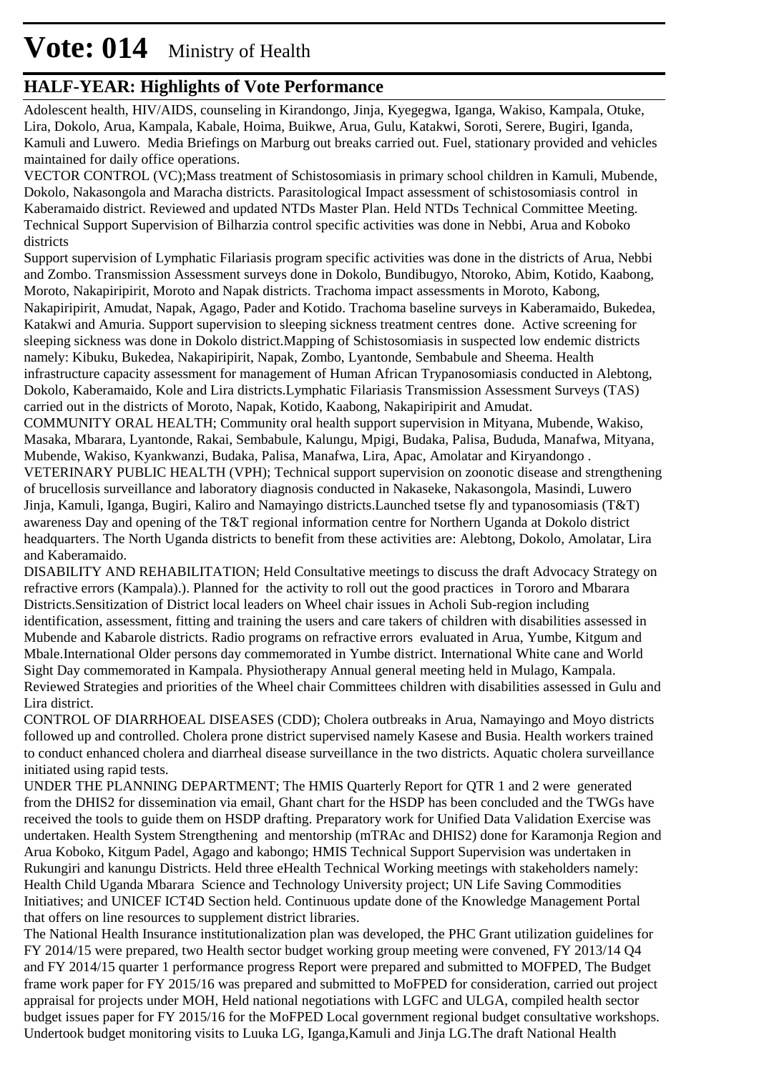### **HALF-YEAR: Highlights of Vote Performance**

Adolescent health, HIV/AIDS, counseling in Kirandongo, Jinja, Kyegegwa, Iganga, Wakiso, Kampala, Otuke, Lira, Dokolo, Arua, Kampala, Kabale, Hoima, Buikwe, Arua, Gulu, Katakwi, Soroti, Serere, Bugiri, Iganda, Kamuli and Luwero. Media Briefings on Marburg out breaks carried out. Fuel, stationary provided and vehicles maintained for daily office operations.

VECTOR CONTROL (VC);Mass treatment of Schistosomiasis in primary school children in Kamuli, Mubende, Dokolo, Nakasongola and Maracha districts. Parasitological Impact assessment of schistosomiasis control in Kaberamaido district. Reviewed and updated NTDs Master Plan. Held NTDs Technical Committee Meeting. Technical Support Supervision of Bilharzia control specific activities was done in Nebbi, Arua and Koboko districts

Support supervision of Lymphatic Filariasis program specific activities was done in the districts of Arua, Nebbi and Zombo. Transmission Assessment surveys done in Dokolo, Bundibugyo, Ntoroko, Abim, Kotido, Kaabong, Moroto, Nakapiripirit, Moroto and Napak districts. Trachoma impact assessments in Moroto, Kabong, Nakapiripirit, Amudat, Napak, Agago, Pader and Kotido. Trachoma baseline surveys in Kaberamaido, Bukedea, Katakwi and Amuria. Support supervision to sleeping sickness treatment centres done. Active screening for sleeping sickness was done in Dokolo district.Mapping of Schistosomiasis in suspected low endemic districts namely: Kibuku, Bukedea, Nakapiripirit, Napak, Zombo, Lyantonde, Sembabule and Sheema. Health infrastructure capacity assessment for management of Human African Trypanosomiasis conducted in Alebtong, Dokolo, Kaberamaido, Kole and Lira districts.Lymphatic Filariasis Transmission Assessment Surveys (TAS) carried out in the districts of Moroto, Napak, Kotido, Kaabong, Nakapiripirit and Amudat.

COMMUNITY ORAL HEALTH; Community oral health support supervision in Mityana, Mubende, Wakiso, Masaka, Mbarara, Lyantonde, Rakai, Sembabule, Kalungu, Mpigi, Budaka, Palisa, Bududa, Manafwa, Mityana, Mubende, Wakiso, Kyankwanzi, Budaka, Palisa, Manafwa, Lira, Apac, Amolatar and Kiryandongo . VETERINARY PUBLIC HEALTH (VPH); Technical support supervision on zoonotic disease and strengthening of brucellosis surveillance and laboratory diagnosis conducted in Nakaseke, Nakasongola, Masindi, Luwero Jinja, Kamuli, Iganga, Bugiri, Kaliro and Namayingo districts.Launched tsetse fly and typanosomiasis (T&T) awareness Day and opening of the T&T regional information centre for Northern Uganda at Dokolo district headquarters. The North Uganda districts to benefit from these activities are: Alebtong, Dokolo, Amolatar, Lira and Kaberamaido.

DISABILITY AND REHABILITATION; Held Consultative meetings to discuss the draft Advocacy Strategy on refractive errors (Kampala).). Planned for the activity to roll out the good practices in Tororo and Mbarara Districts.Sensitization of District local leaders on Wheel chair issues in Acholi Sub-region including identification, assessment, fitting and training the users and care takers of children with disabilities assessed in Mubende and Kabarole districts. Radio programs on refractive errors evaluated in Arua, Yumbe, Kitgum and Mbale.International Older persons day commemorated in Yumbe district. International White cane and World Sight Day commemorated in Kampala. Physiotherapy Annual general meeting held in Mulago, Kampala. Reviewed Strategies and priorities of the Wheel chair Committees children with disabilities assessed in Gulu and Lira district.

CONTROL OF DIARRHOEAL DISEASES (CDD); Cholera outbreaks in Arua, Namayingo and Moyo districts followed up and controlled. Cholera prone district supervised namely Kasese and Busia. Health workers trained to conduct enhanced cholera and diarrheal disease surveillance in the two districts. Aquatic cholera surveillance initiated using rapid tests.

UNDER THE PLANNING DEPARTMENT; The HMIS Quarterly Report for QTR 1 and 2 were generated from the DHIS2 for dissemination via email, Ghant chart for the HSDP has been concluded and the TWGs have received the tools to guide them on HSDP drafting. Preparatory work for Unified Data Validation Exercise was undertaken. Health System Strengthening and mentorship (mTRAc and DHIS2) done for Karamonja Region and Arua Koboko, Kitgum Padel, Agago and kabongo; HMIS Technical Support Supervision was undertaken in Rukungiri and kanungu Districts. Held three eHealth Technical Working meetings with stakeholders namely: Health Child Uganda Mbarara Science and Technology University project; UN Life Saving Commodities Initiatives; and UNICEF ICT4D Section held. Continuous update done of the Knowledge Management Portal that offers on line resources to supplement district libraries.

The National Health Insurance institutionalization plan was developed, the PHC Grant utilization guidelines for FY 2014/15 were prepared, two Health sector budget working group meeting were convened, FY 2013/14 Q4 and FY 2014/15 quarter 1 performance progress Report were prepared and submitted to MOFPED, The Budget frame work paper for FY 2015/16 was prepared and submitted to MoFPED for consideration, carried out project appraisal for projects under MOH, Held national negotiations with LGFC and ULGA, compiled health sector budget issues paper for FY 2015/16 for the MoFPED Local government regional budget consultative workshops. Undertook budget monitoring visits to Luuka LG, Iganga,Kamuli and Jinja LG.The draft National Health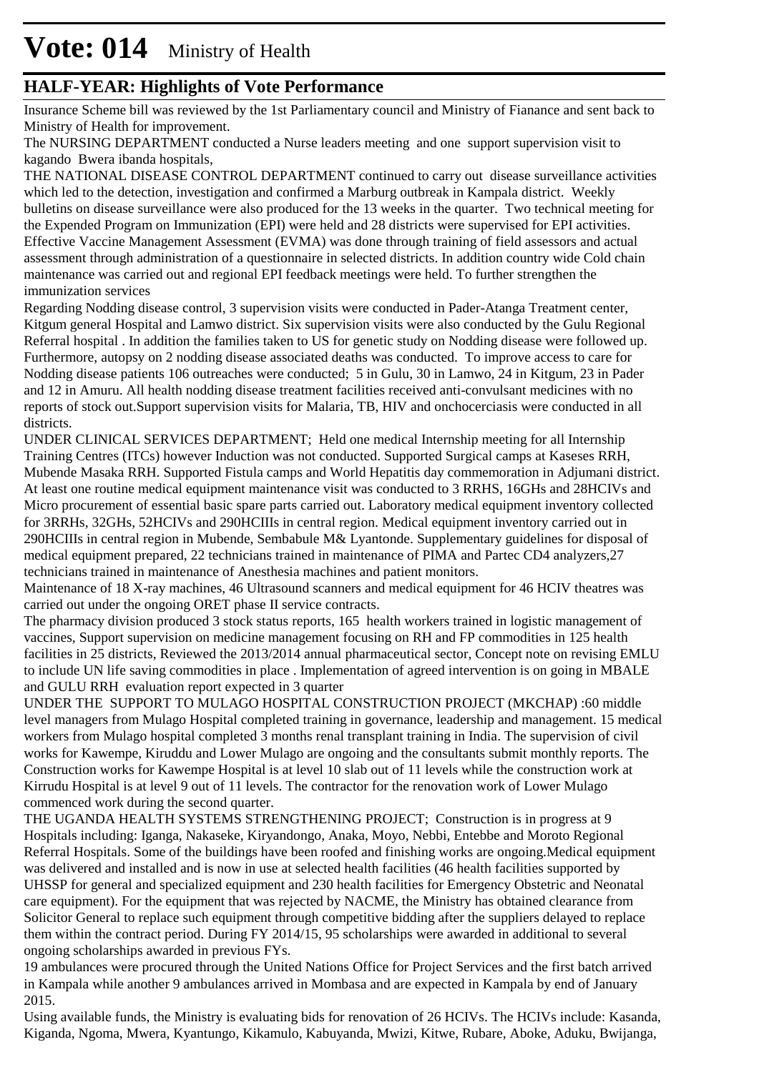### **HALF-YEAR: Highlights of Vote Performance**

Insurance Scheme bill was reviewed by the 1st Parliamentary council and Ministry of Fianance and sent back to Ministry of Health for improvement.

The NURSING DEPARTMENT conducted a Nurse leaders meeting and one support supervision visit to kagando Bwera ibanda hospitals,

THE NATIONAL DISEASE CONTROL DEPARTMENT continued to carry out disease surveillance activities which led to the detection, investigation and confirmed a Marburg outbreak in Kampala district. Weekly bulletins on disease surveillance were also produced for the 13 weeks in the quarter. Two technical meeting for the Expended Program on Immunization (EPI) were held and 28 districts were supervised for EPI activities. Effective Vaccine Management Assessment (EVMA) was done through training of field assessors and actual assessment through administration of a questionnaire in selected districts. In addition country wide Cold chain maintenance was carried out and regional EPI feedback meetings were held. To further strengthen the immunization services

Regarding Nodding disease control, 3 supervision visits were conducted in Pader-Atanga Treatment center, Kitgum general Hospital and Lamwo district. Six supervision visits were also conducted by the Gulu Regional Referral hospital . In addition the families taken to US for genetic study on Nodding disease were followed up. Furthermore, autopsy on 2 nodding disease associated deaths was conducted. To improve access to care for Nodding disease patients 106 outreaches were conducted; 5 in Gulu, 30 in Lamwo, 24 in Kitgum, 23 in Pader and 12 in Amuru. All health nodding disease treatment facilities received anti-convulsant medicines with no reports of stock out.Support supervision visits for Malaria, TB, HIV and onchocerciasis were conducted in all districts.

UNDER CLINICAL SERVICES DEPARTMENT; Held one medical Internship meeting for all Internship Training Centres (ITCs) however Induction was not conducted. Supported Surgical camps at Kaseses RRH, Mubende Masaka RRH. Supported Fistula camps and World Hepatitis day commemoration in Adjumani district. At least one routine medical equipment maintenance visit was conducted to 3 RRHS, 16GHs and 28HCIVs and Micro procurement of essential basic spare parts carried out. Laboratory medical equipment inventory collected for 3RRHs, 32GHs, 52HCIVs and 290HCIIIs in central region. Medical equipment inventory carried out in 290HCIIIs in central region in Mubende, Sembabule M& Lyantonde. Supplementary guidelines for disposal of medical equipment prepared, 22 technicians trained in maintenance of PIMA and Partec CD4 analyzers,27 technicians trained in maintenance of Anesthesia machines and patient monitors.

Maintenance of 18 X-ray machines, 46 Ultrasound scanners and medical equipment for 46 HCIV theatres was carried out under the ongoing ORET phase II service contracts.

The pharmacy division produced 3 stock status reports, 165 health workers trained in logistic management of vaccines, Support supervision on medicine management focusing on RH and FP commodities in 125 health facilities in 25 districts, Reviewed the 2013/2014 annual pharmaceutical sector, Concept note on revising EMLU to include UN life saving commodities in place . Implementation of agreed intervention is on going in MBALE and GULU RRH evaluation report expected in 3 quarter

UNDER THE SUPPORT TO MULAGO HOSPITAL CONSTRUCTION PROJECT (MKCHAP) :60 middle level managers from Mulago Hospital completed training in governance, leadership and management. 15 medical workers from Mulago hospital completed 3 months renal transplant training in India. The supervision of civil works for Kawempe, Kiruddu and Lower Mulago are ongoing and the consultants submit monthly reports. The Construction works for Kawempe Hospital is at level 10 slab out of 11 levels while the construction work at Kirrudu Hospital is at level 9 out of 11 levels. The contractor for the renovation work of Lower Mulago commenced work during the second quarter.

THE UGANDA HEALTH SYSTEMS STRENGTHENING PROJECT; Construction is in progress at 9 Hospitals including: Iganga, Nakaseke, Kiryandongo, Anaka, Moyo, Nebbi, Entebbe and Moroto Regional Referral Hospitals. Some of the buildings have been roofed and finishing works are ongoing.Medical equipment was delivered and installed and is now in use at selected health facilities (46 health facilities supported by UHSSP for general and specialized equipment and 230 health facilities for Emergency Obstetric and Neonatal care equipment). For the equipment that was rejected by NACME, the Ministry has obtained clearance from Solicitor General to replace such equipment through competitive bidding after the suppliers delayed to replace them within the contract period. During FY 2014/15, 95 scholarships were awarded in additional to several ongoing scholarships awarded in previous FYs.

19 ambulances were procured through the United Nations Office for Project Services and the first batch arrived in Kampala while another 9 ambulances arrived in Mombasa and are expected in Kampala by end of January 2015.

Using available funds, the Ministry is evaluating bids for renovation of 26 HCIVs. The HCIVs include: Kasanda, Kiganda, Ngoma, Mwera, Kyantungo, Kikamulo, Kabuyanda, Mwizi, Kitwe, Rubare, Aboke, Aduku, Bwijanga,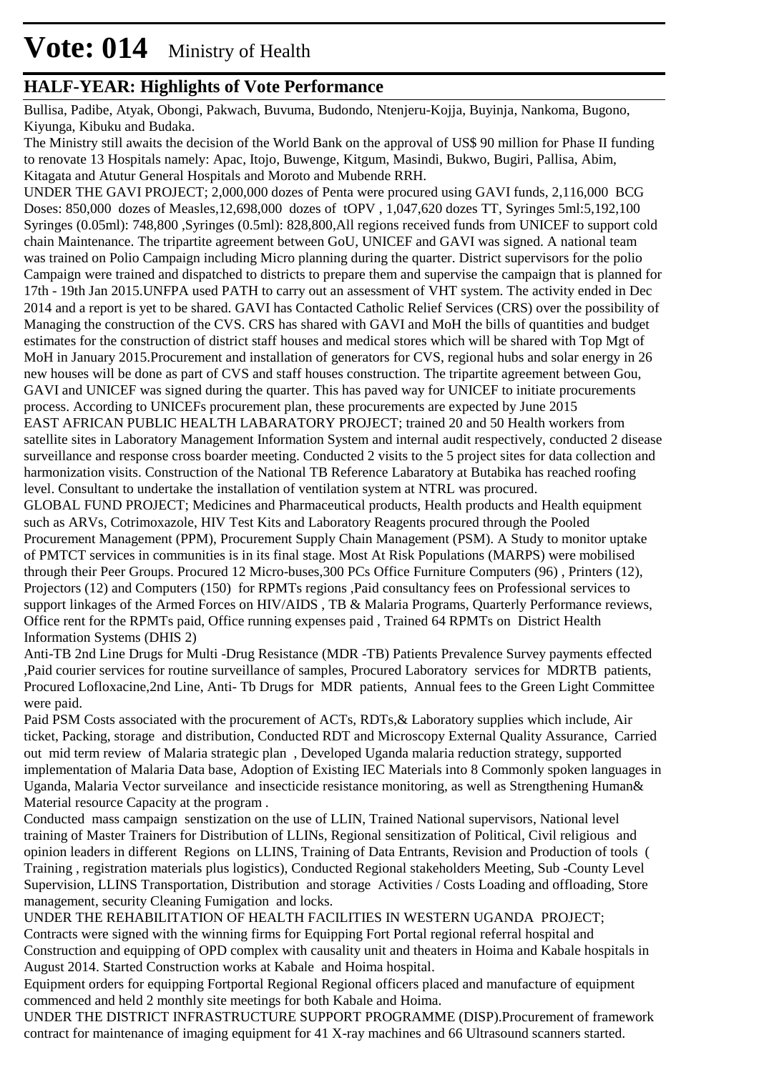Bullisa, Padibe, Atyak, Obongi, Pakwach, Buvuma, Budondo, Ntenjeru-Kojja, Buyinja, Nankoma, Bugono, Kiyunga, Kibuku and Budaka.

The Ministry still awaits the decision of the World Bank on the approval of US\$ 90 million for Phase II funding to renovate 13 Hospitals namely: Apac, Itojo, Buwenge, Kitgum, Masindi, Bukwo, Bugiri, Pallisa, Abim, Kitagata and Atutur General Hospitals and Moroto and Mubende RRH.

UNDER THE GAVI PROJECT; 2,000,000 dozes of Penta were procured using GAVI funds, 2,116,000 BCG Doses: 850,000 dozes of Measles,12,698,000 dozes of tOPV , 1,047,620 dozes TT, Syringes 5ml:5,192,100 Syringes (0.05ml): 748,800 ,Syringes (0.5ml): 828,800,All regions received funds from UNICEF to support cold chain Maintenance. The tripartite agreement between GoU, UNICEF and GAVI was signed. A national team was trained on Polio Campaign including Micro planning during the quarter. District supervisors for the polio Campaign were trained and dispatched to districts to prepare them and supervise the campaign that is planned for 17th - 19th Jan 2015.UNFPA used PATH to carry out an assessment of VHT system. The activity ended in Dec 2014 and a report is yet to be shared. GAVI has Contacted Catholic Relief Services (CRS) over the possibility of Managing the construction of the CVS. CRS has shared with GAVI and MoH the bills of quantities and budget estimates for the construction of district staff houses and medical stores which will be shared with Top Mgt of MoH in January 2015.Procurement and installation of generators for CVS, regional hubs and solar energy in 26 new houses will be done as part of CVS and staff houses construction. The tripartite agreement between Gou, GAVI and UNICEF was signed during the quarter. This has paved way for UNICEF to initiate procurements process. According to UNICEFs procurement plan, these procurements are expected by June 2015 EAST AFRICAN PUBLIC HEALTH LABARATORY PROJECT; trained 20 and 50 Health workers from satellite sites in Laboratory Management Information System and internal audit respectively, conducted 2 disease surveillance and response cross boarder meeting. Conducted 2 visits to the 5 project sites for data collection and harmonization visits. Construction of the National TB Reference Labaratory at Butabika has reached roofing level. Consultant to undertake the installation of ventilation system at NTRL was procured. GLOBAL FUND PROJECT; Medicines and Pharmaceutical products, Health products and Health equipment such as ARVs, Cotrimoxazole, HIV Test Kits and Laboratory Reagents procured through the Pooled Procurement Management (PPM), Procurement Supply Chain Management (PSM). A Study to monitor uptake of PMTCT services in communities is in its final stage. Most At Risk Populations (MARPS) were mobilised through their Peer Groups. Procured 12 Micro-buses,300 PCs Office Furniture Computers (96) , Printers (12), Projectors (12) and Computers (150) for RPMTs regions ,Paid consultancy fees on Professional services to support linkages of the Armed Forces on HIV/AIDS , TB & Malaria Programs, Quarterly Performance reviews, Office rent for the RPMTs paid, Office running expenses paid , Trained 64 RPMTs on District Health Information Systems (DHIS 2)

Anti-TB 2nd Line Drugs for Multi -Drug Resistance (MDR -TB) Patients Prevalence Survey payments effected ,Paid courier services for routine surveillance of samples, Procured Laboratory services for MDRTB patients, Procured Lofloxacine,2nd Line, Anti- Tb Drugs for MDR patients, Annual fees to the Green Light Committee were paid.

Paid PSM Costs associated with the procurement of ACTs, RDTs,& Laboratory supplies which include, Air ticket, Packing, storage and distribution, Conducted RDT and Microscopy External Quality Assurance, Carried out mid term review of Malaria strategic plan , Developed Uganda malaria reduction strategy, supported implementation of Malaria Data base, Adoption of Existing IEC Materials into 8 Commonly spoken languages in Uganda, Malaria Vector surveilance and insecticide resistance monitoring, as well as Strengthening Human& Material resource Capacity at the program .

Conducted mass campaign senstization on the use of LLIN, Trained National supervisors, National level training of Master Trainers for Distribution of LLINs, Regional sensitization of Political, Civil religious and opinion leaders in different Regions on LLINS, Training of Data Entrants, Revision and Production of tools ( Training , registration materials plus logistics), Conducted Regional stakeholders Meeting, Sub -County Level Supervision, LLINS Transportation, Distribution and storage Activities / Costs Loading and offloading, Store management, security Cleaning Fumigation and locks.

UNDER THE REHABILITATION OF HEALTH FACILITIES IN WESTERN UGANDA PROJECT; Contracts were signed with the winning firms for Equipping Fort Portal regional referral hospital and Construction and equipping of OPD complex with causality unit and theaters in Hoima and Kabale hospitals in August 2014. Started Construction works at Kabale and Hoima hospital.

Equipment orders for equipping Fortportal Regional Regional officers placed and manufacture of equipment commenced and held 2 monthly site meetings for both Kabale and Hoima.

UNDER THE DISTRICT INFRASTRUCTURE SUPPORT PROGRAMME (DISP).Procurement of framework contract for maintenance of imaging equipment for 41 X-ray machines and 66 Ultrasound scanners started.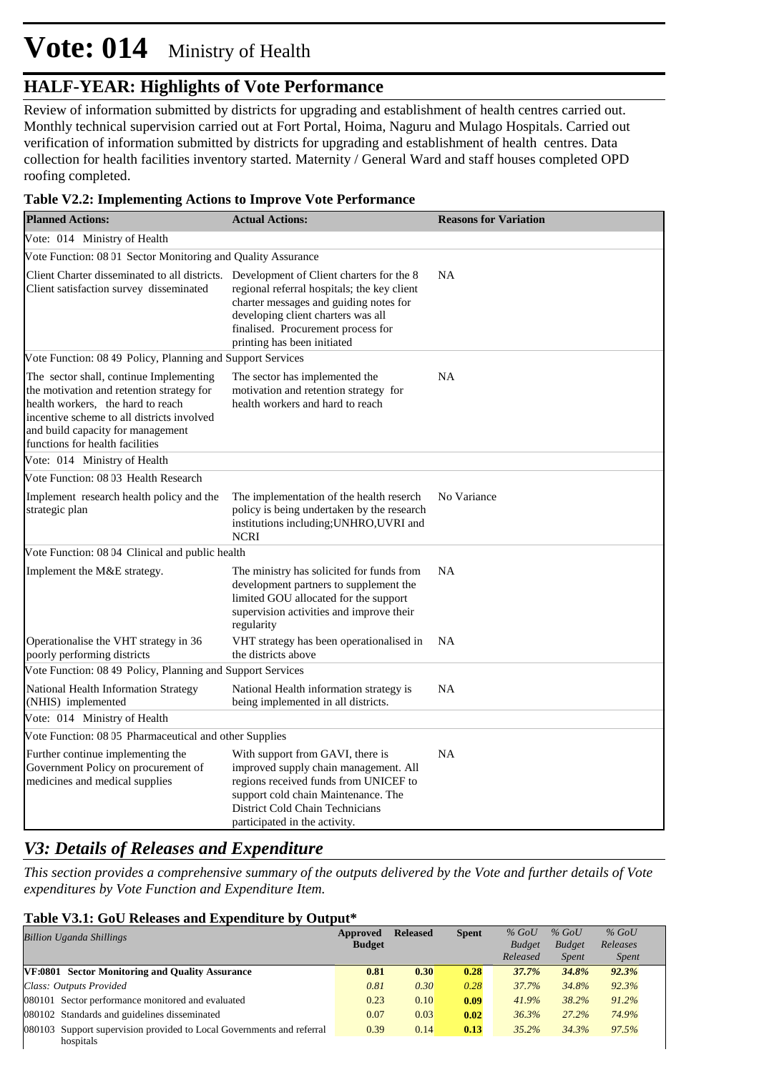### **HALF-YEAR: Highlights of Vote Performance**

Review of information submitted by districts for upgrading and establishment of health centres carried out. Monthly technical supervision carried out at Fort Portal, Hoima, Naguru and Mulago Hospitals. Carried out verification of information submitted by districts for upgrading and establishment of health centres. Data collection for health facilities inventory started. Maternity / General Ward and staff houses completed OPD roofing completed.

#### **Table V2.2: Implementing Actions to Improve Vote Performance**

| <b>Planned Actions:</b>                                                                                                                                                                                                                         | <b>Actual Actions:</b>                                                                                                                                                                                                        | <b>Reasons for Variation</b> |
|-------------------------------------------------------------------------------------------------------------------------------------------------------------------------------------------------------------------------------------------------|-------------------------------------------------------------------------------------------------------------------------------------------------------------------------------------------------------------------------------|------------------------------|
| Vote: 014 Ministry of Health                                                                                                                                                                                                                    |                                                                                                                                                                                                                               |                              |
| Vote Function: 08 01 Sector Monitoring and Quality Assurance                                                                                                                                                                                    |                                                                                                                                                                                                                               |                              |
| Client Charter disseminated to all districts. Development of Client charters for the 8<br>Client satisfaction survey disseminated                                                                                                               | regional referral hospitals; the key client<br>charter messages and guiding notes for<br>developing client charters was all<br>finalised. Procurement process for<br>printing has been initiated                              | <b>NA</b>                    |
| Vote Function: 08 49 Policy, Planning and Support Services                                                                                                                                                                                      |                                                                                                                                                                                                                               |                              |
| The sector shall, continue Implementing<br>the motivation and retention strategy for<br>health workers, the hard to reach<br>incentive scheme to all districts involved<br>and build capacity for management<br>functions for health facilities | The sector has implemented the<br>motivation and retention strategy for<br>health workers and hard to reach                                                                                                                   | <b>NA</b>                    |
| Vote: 014 Ministry of Health                                                                                                                                                                                                                    |                                                                                                                                                                                                                               |                              |
| Vote Function: 08 03 Health Research                                                                                                                                                                                                            |                                                                                                                                                                                                                               |                              |
| Implement research health policy and the<br>strategic plan                                                                                                                                                                                      | The implementation of the health reserch<br>policy is being undertaken by the research<br>institutions including; UNHRO, UVRI and<br><b>NCRI</b>                                                                              | No Variance                  |
| Vote Function: 08 04 Clinical and public health                                                                                                                                                                                                 |                                                                                                                                                                                                                               |                              |
| Implement the M&E strategy.                                                                                                                                                                                                                     | The ministry has solicited for funds from<br>development partners to supplement the<br>limited GOU allocated for the support<br>supervision activities and improve their<br>regularity                                        | <b>NA</b>                    |
| Operationalise the VHT strategy in 36<br>poorly performing districts                                                                                                                                                                            | VHT strategy has been operationalised in<br>the districts above                                                                                                                                                               | <b>NA</b>                    |
| Vote Function: 08 49 Policy, Planning and Support Services                                                                                                                                                                                      |                                                                                                                                                                                                                               |                              |
| National Health Information Strategy<br>(NHIS) implemented                                                                                                                                                                                      | National Health information strategy is<br>being implemented in all districts.                                                                                                                                                | <b>NA</b>                    |
| Vote: 014 Ministry of Health                                                                                                                                                                                                                    |                                                                                                                                                                                                                               |                              |
| Vote Function: 08 05 Pharmaceutical and other Supplies                                                                                                                                                                                          |                                                                                                                                                                                                                               |                              |
| Further continue implementing the<br>Government Policy on procurement of<br>medicines and medical supplies                                                                                                                                      | With support from GAVI, there is<br>improved supply chain management. All<br>regions received funds from UNICEF to<br>support cold chain Maintenance. The<br>District Cold Chain Technicians<br>participated in the activity. | <b>NA</b>                    |

### *V3: Details of Releases and Expenditure*

*This section provides a comprehensive summary of the outputs delivered by the Vote and further details of Vote expenditures by Vote Function and Expenditure Item.*

#### **Table V3.1: GoU Releases and Expenditure by Output\***

| <b>Billion Uganda Shillings</b>                                       | Approved<br><b>Budget</b> | <b>Released</b> | <b>Spent</b> | $%$ GoU<br><b>Budget</b> | $%$ GoU<br><b>Budget</b> | $%$ GoU<br>Releases |  |
|-----------------------------------------------------------------------|---------------------------|-----------------|--------------|--------------------------|--------------------------|---------------------|--|
|                                                                       |                           |                 |              | Released                 | <b>Spent</b>             | <i>Spent</i>        |  |
| VF:0801 Sector Monitoring and Quality Assurance                       | 0.81                      | 0.30            | 0.28         | 37.7%                    | 34.8%                    | 92.3%               |  |
| Class: Outputs Provided                                               | 0.81                      | 0.30            | 0.28         | 37.7%                    | 34.8%                    | 92.3%               |  |
| 080101 Sector performance monitored and evaluated                     | 0.23                      | 0.10            | 0.09         | 41.9%                    | 38.2%                    | 91.2%               |  |
| 080102 Standards and guidelines disseminated                          | 0.07                      | 0.03            | 0.02         | 36.3%                    | $27.2\%$                 | 74.9%               |  |
| 080103 Support supervision provided to Local Governments and referral | 0.39                      | 0.14            | 0.13         | 35.2%                    | 34.3%                    | 97.5%               |  |
| hospitals                                                             |                           |                 |              |                          |                          |                     |  |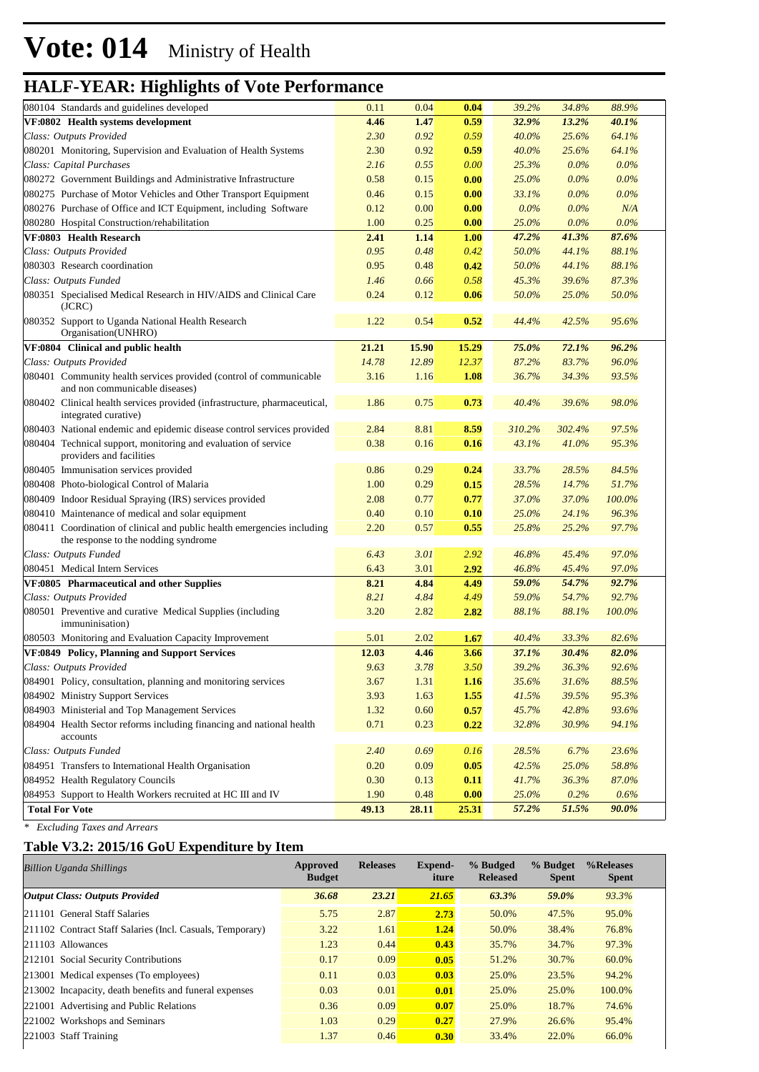| 080104 Standards and guidelines developed                                                                       | 0.11  | 0.04  | 0.04        | 39.2%   | 34.8%   | 88.9%   |  |
|-----------------------------------------------------------------------------------------------------------------|-------|-------|-------------|---------|---------|---------|--|
| VF:0802 Health systems development                                                                              | 4.46  | 1.47  | 0.59        | 32.9%   | 13.2%   | 40.1%   |  |
| Class: Outputs Provided                                                                                         | 2.30  | 0.92  | 0.59        | 40.0%   | 25.6%   | 64.1%   |  |
| 080201 Monitoring, Supervision and Evaluation of Health Systems                                                 | 2.30  | 0.92  | 0.59        | 40.0%   | 25.6%   | 64.1%   |  |
| Class: Capital Purchases                                                                                        | 2.16  | 0.55  | 0.00        | 25.3%   | $0.0\%$ | $0.0\%$ |  |
| 080272 Government Buildings and Administrative Infrastructure                                                   | 0.58  | 0.15  | 0.00        | 25.0%   | $0.0\%$ | $0.0\%$ |  |
| 080275 Purchase of Motor Vehicles and Other Transport Equipment                                                 | 0.46  | 0.15  | 0.00        | 33.1%   | $0.0\%$ | $0.0\%$ |  |
| 080276 Purchase of Office and ICT Equipment, including Software                                                 | 0.12  | 0.00  | 0.00        | $0.0\%$ | $0.0\%$ | N/A     |  |
| 080280 Hospital Construction/rehabilitation                                                                     | 1.00  | 0.25  | 0.00        | 25.0%   | $0.0\%$ | $0.0\%$ |  |
| VF:0803 Health Research                                                                                         | 2.41  | 1.14  | 1.00        | 47.2%   | 41.3%   | 87.6%   |  |
| Class: Outputs Provided                                                                                         | 0.95  | 0.48  | 0.42        | 50.0%   | 44.1%   | 88.1%   |  |
| 080303 Research coordination                                                                                    | 0.95  | 0.48  | 0.42        | 50.0%   | 44.1%   | 88.1%   |  |
| Class: Outputs Funded                                                                                           | 1.46  | 0.66  | 0.58        | 45.3%   | 39.6%   | 87.3%   |  |
| 080351 Specialised Medical Research in HIV/AIDS and Clinical Care<br>(JCRC)                                     | 0.24  | 0.12  | 0.06        | 50.0%   | 25.0%   | 50.0%   |  |
| 080352 Support to Uganda National Health Research<br>Organisation(UNHRO)                                        | 1.22  | 0.54  | 0.52        | 44.4%   | 42.5%   | 95.6%   |  |
| VF:0804 Clinical and public health                                                                              | 21.21 | 15.90 | 15.29       | 75.0%   | 72.1%   | 96.2%   |  |
| Class: Outputs Provided                                                                                         | 14.78 | 12.89 | 12.37       | 87.2%   | 83.7%   | 96.0%   |  |
| 080401 Community health services provided (control of communicable<br>and non communicable diseases)            | 3.16  | 1.16  | 1.08        | 36.7%   | 34.3%   | 93.5%   |  |
| 080402 Clinical health services provided (infrastructure, pharmaceutical,<br>integrated curative)               | 1.86  | 0.75  | 0.73        | 40.4%   | 39.6%   | 98.0%   |  |
| 080403 National endemic and epidemic disease control services provided                                          | 2.84  | 8.81  | 8.59        | 310.2%  | 302.4%  | 97.5%   |  |
| 080404 Technical support, monitoring and evaluation of service<br>providers and facilities                      | 0.38  | 0.16  | 0.16        | 43.1%   | 41.0%   | 95.3%   |  |
| 080405 Immunisation services provided                                                                           | 0.86  | 0.29  | 0.24        | 33.7%   | 28.5%   | 84.5%   |  |
| 080408 Photo-biological Control of Malaria                                                                      | 1.00  | 0.29  | 0.15        | 28.5%   | 14.7%   | 51.7%   |  |
| 080409 Indoor Residual Spraying (IRS) services provided                                                         | 2.08  | 0.77  | 0.77        | 37.0%   | 37.0%   | 100.0%  |  |
| 080410 Maintenance of medical and solar equipment                                                               | 0.40  | 0.10  | 0.10        | 25.0%   | 24.1%   | 96.3%   |  |
| 080411 Coordination of clinical and public health emergencies including<br>the response to the nodding syndrome | 2.20  | 0.57  | 0.55        | 25.8%   | 25.2%   | 97.7%   |  |
| Class: Outputs Funded                                                                                           | 6.43  | 3.01  | 2.92        | 46.8%   | 45.4%   | 97.0%   |  |
| 080451 Medical Intern Services                                                                                  | 6.43  | 3.01  | 2.92        | 46.8%   | 45.4%   | 97.0%   |  |
| VF:0805 Pharmaceutical and other Supplies                                                                       | 8.21  | 4.84  | 4.49        | 59.0%   | 54.7%   | 92.7%   |  |
| Class: Outputs Provided                                                                                         | 8.21  | 4.84  | 4.49        | 59.0%   | 54.7%   | 92.7%   |  |
| 080501 Preventive and curative Medical Supplies (including<br>immuninisation)                                   | 3.20  | 2.82  | 2.82        | 88.1%   | 88.1%   | 100.0%  |  |
| 080503 Monitoring and Evaluation Capacity Improvement                                                           | 5.01  | 2.02  | 1.67        | 40.4%   | 33.3%   | 82.6%   |  |
| VF:0849 Policy, Planning and Support Services                                                                   | 12.03 | 4.46  | 3.66        | 37.1%   | 30.4%   | 82.0%   |  |
| Class: Outputs Provided                                                                                         | 9.63  | 3.78  | 3.50        | 39.2%   | 36.3%   | 92.6%   |  |
| 084901 Policy, consultation, planning and monitoring services                                                   | 3.67  | 1.31  | <b>1.16</b> | 35.6%   | 31.6%   | 88.5%   |  |
| 084902 Ministry Support Services                                                                                | 3.93  | 1.63  | 1.55        | 41.5%   | 39.5%   | 95.3%   |  |
| 084903 Ministerial and Top Management Services                                                                  | 1.32  | 0.60  | 0.57        | 45.7%   | 42.8%   | 93.6%   |  |
| 084904 Health Sector reforms including financing and national health<br>accounts                                | 0.71  | 0.23  | 0.22        | 32.8%   | 30.9%   | 94.1%   |  |
| Class: Outputs Funded                                                                                           | 2.40  | 0.69  | 0.16        | 28.5%   | 6.7%    | 23.6%   |  |
| 084951 Transfers to International Health Organisation                                                           | 0.20  | 0.09  | 0.05        | 42.5%   | 25.0%   | 58.8%   |  |
| 084952 Health Regulatory Councils                                                                               | 0.30  | 0.13  | 0.11        | 41.7%   | 36.3%   | 87.0%   |  |
| 084953 Support to Health Workers recruited at HC III and IV                                                     | 1.90  | 0.48  | 0.00        | 25.0%   | 0.2%    | 0.6%    |  |
| <b>Total For Vote</b>                                                                                           | 49.13 | 28.11 | 25.31       | 57.2%   | 51.5%   | 90.0%   |  |

*\* Excluding Taxes and Arrears*

### **Table V3.2: 2015/16 GoU Expenditure by Item**

| <b>Billion Uganda Shillings</b>                           | Approved<br><b>Budget</b> | <b>Releases</b> | <b>Expend-</b><br>iture | % Budged<br><b>Released</b> | % Budget<br><b>Spent</b> | %Releases<br><b>Spent</b> |
|-----------------------------------------------------------|---------------------------|-----------------|-------------------------|-----------------------------|--------------------------|---------------------------|
| <b>Output Class: Outputs Provided</b>                     | 36.68                     | 23.21           | 21.65                   | 63.3%                       | 59.0%                    | 93.3%                     |
| 211101 General Staff Salaries                             | 5.75                      | 2.87            | 2.73                    | 50.0%                       | 47.5%                    | 95.0%                     |
| 211102 Contract Staff Salaries (Incl. Casuals, Temporary) | 3.22                      | 1.61            | 1.24                    | 50.0%                       | 38.4%                    | 76.8%                     |
| $ 211103$ Allowances                                      | 1.23                      | 0.44            | 0.43                    | 35.7%                       | 34.7%                    | 97.3%                     |
| 212101 Social Security Contributions                      | 0.17                      | 0.09            | 0.05                    | 51.2%                       | 30.7%                    | 60.0%                     |
| 213001 Medical expenses (To employees)                    | 0.11                      | 0.03            | 0.03                    | 25.0%                       | 23.5%                    | 94.2%                     |
| 213002 Incapacity, death benefits and funeral expenses    | 0.03                      | 0.01            | 0.01                    | 25.0%                       | 25.0%                    | 100.0%                    |
| 221001 Advertising and Public Relations                   | 0.36                      | 0.09            | 0.07                    | 25.0%                       | 18.7%                    | 74.6%                     |
| 221002 Workshops and Seminars                             | 1.03                      | 0.29            | 0.27                    | 27.9%                       | 26.6%                    | 95.4%                     |
| 221003 Staff Training                                     | 1.37                      | 0.46            | 0.30                    | 33.4%                       | 22.0%                    | 66.0%                     |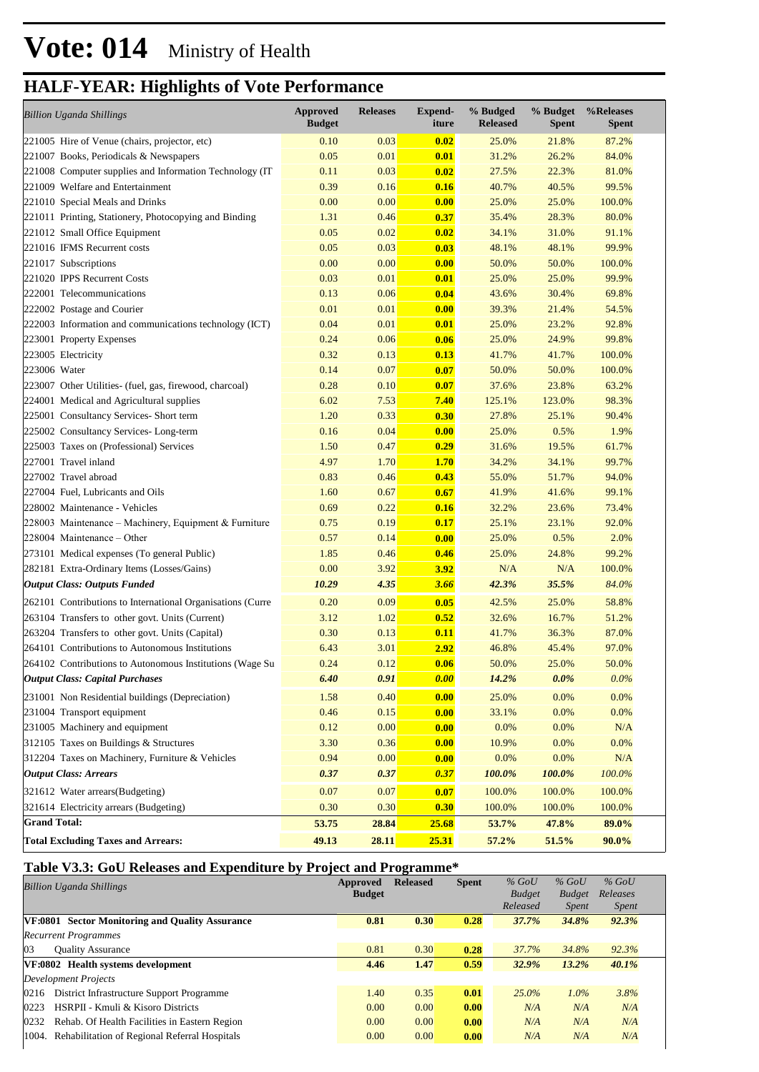| <b>Billion Uganda Shillings</b>                            | <b>Approved</b><br><b>Budget</b> | <b>Releases</b> | <b>Expend-</b><br>iture | % Budged<br><b>Released</b> | % Budget<br><b>Spent</b> | %Releases<br><b>Spent</b> |
|------------------------------------------------------------|----------------------------------|-----------------|-------------------------|-----------------------------|--------------------------|---------------------------|
| 221005 Hire of Venue (chairs, projector, etc)              | 0.10                             | 0.03            | 0.02                    | 25.0%                       | 21.8%                    | 87.2%                     |
| 221007 Books, Periodicals & Newspapers                     | 0.05                             | 0.01            | 0.01                    | 31.2%                       | 26.2%                    | 84.0%                     |
| 221008 Computer supplies and Information Technology (IT)   | 0.11                             | 0.03            | 0.02                    | 27.5%                       | 22.3%                    | 81.0%                     |
| 221009 Welfare and Entertainment                           | 0.39                             | 0.16            | 0.16                    | 40.7%                       | 40.5%                    | 99.5%                     |
| 221010 Special Meals and Drinks                            | 0.00                             | 0.00            | 0.00                    | 25.0%                       | 25.0%                    | 100.0%                    |
| 221011 Printing, Stationery, Photocopying and Binding      | 1.31                             | 0.46            | 0.37                    | 35.4%                       | 28.3%                    | 80.0%                     |
| 221012 Small Office Equipment                              | 0.05                             | 0.02            | 0.02                    | 34.1%                       | 31.0%                    | 91.1%                     |
| 221016 IFMS Recurrent costs                                | 0.05                             | 0.03            | 0.03                    | 48.1%                       | 48.1%                    | 99.9%                     |
| 221017 Subscriptions                                       | 0.00                             | 0.00            | 0.00                    | 50.0%                       | 50.0%                    | 100.0%                    |
| 221020 IPPS Recurrent Costs                                | 0.03                             | 0.01            | 0.01                    | 25.0%                       | 25.0%                    | 99.9%                     |
| 222001 Telecommunications                                  | 0.13                             | 0.06            | 0.04                    | 43.6%                       | 30.4%                    | 69.8%                     |
| 222002 Postage and Courier                                 | 0.01                             | 0.01            | 0.00                    | 39.3%                       | 21.4%                    | 54.5%                     |
| 222003 Information and communications technology (ICT)     | 0.04                             | 0.01            | 0.01                    | 25.0%                       | 23.2%                    | 92.8%                     |
| 223001 Property Expenses                                   | 0.24                             | 0.06            | 0.06                    | 25.0%                       | 24.9%                    | 99.8%                     |
| 223005 Electricity                                         | 0.32                             | 0.13            | 0.13                    | 41.7%                       | 41.7%                    | 100.0%                    |
| 223006 Water                                               | 0.14                             | 0.07            | 0.07                    | 50.0%                       | 50.0%                    | 100.0%                    |
| 223007 Other Utilities- (fuel, gas, firewood, charcoal)    | 0.28                             | 0.10            | 0.07                    | 37.6%                       | 23.8%                    | 63.2%                     |
| 224001 Medical and Agricultural supplies                   | 6.02                             | 7.53            | 7.40                    | 125.1%                      | 123.0%                   | 98.3%                     |
| 225001 Consultancy Services- Short term                    | 1.20                             | 0.33            | 0.30                    | 27.8%                       | 25.1%                    | 90.4%                     |
| 225002 Consultancy Services-Long-term                      | 0.16                             | 0.04            | 0.00                    | 25.0%                       | 0.5%                     | 1.9%                      |
| 225003 Taxes on (Professional) Services                    | 1.50                             | 0.47            | 0.29                    | 31.6%                       | 19.5%                    | 61.7%                     |
| 227001 Travel inland                                       | 4.97                             | 1.70            | <b>1.70</b>             | 34.2%                       | 34.1%                    | 99.7%                     |
| 227002 Travel abroad                                       | 0.83                             | 0.46            | 0.43                    | 55.0%                       | 51.7%                    | 94.0%                     |
| 227004 Fuel, Lubricants and Oils                           | 1.60                             | 0.67            | 0.67                    | 41.9%                       | 41.6%                    | 99.1%                     |
| 228002 Maintenance - Vehicles                              | 0.69                             | 0.22            | 0.16                    | 32.2%                       | 23.6%                    | 73.4%                     |
| 228003 Maintenance – Machinery, Equipment & Furniture      | 0.75                             | 0.19            | 0.17                    | 25.1%                       | 23.1%                    | 92.0%                     |
| $228004$ Maintenance – Other                               | 0.57                             | 0.14            | 0.00                    | 25.0%                       | 0.5%                     | 2.0%                      |
| 273101 Medical expenses (To general Public)                | 1.85                             | 0.46            | 0.46                    | 25.0%                       | 24.8%                    | 99.2%                     |
| 282181 Extra-Ordinary Items (Losses/Gains)                 | 0.00                             | 3.92            | 3.92                    | N/A                         | N/A                      | 100.0%                    |
| <b>Output Class: Outputs Funded</b>                        | 10.29                            | 4.35            | 3.66                    | 42.3%                       | 35.5%                    | 84.0%                     |
| 262101 Contributions to International Organisations (Curre | 0.20                             | 0.09            | 0.05                    | 42.5%                       | 25.0%                    | 58.8%                     |
| 263104 Transfers to other govt. Units (Current)            | 3.12                             | 1.02            | 0.52                    | 32.6%                       | 16.7%                    | 51.2%                     |
| 263204 Transfers to other govt. Units (Capital)            | 0.30                             | 0.13            | 0.11                    | 41.7%                       | 36.3%                    | 87.0%                     |
| 264101 Contributions to Autonomous Institutions            | 6.43                             | 3.01            | 2.92                    | 46.8%                       | 45.4%                    | 97.0%                     |
| 264102 Contributions to Autonomous Institutions (Wage Su   | 0.24                             | 0.12            | 0.06                    | 50.0%                       | 25.0%                    | 50.0%                     |
| <b>Output Class: Capital Purchases</b>                     | 6.40                             | 0.91            | 0.00                    | 14.2%                       | $0.0\%$                  | 0.0%                      |
| 231001 Non Residential buildings (Depreciation)            | 1.58                             | 0.40            | 0.00                    | 25.0%                       | 0.0%                     | 0.0%                      |
| 231004 Transport equipment                                 | 0.46                             | 0.15            | 0.00                    | 33.1%                       | 0.0%                     | 0.0%                      |
| 231005 Machinery and equipment                             | 0.12                             | 0.00            | 0.00                    | 0.0%                        | 0.0%                     | N/A                       |
| 312105 Taxes on Buildings & Structures                     | 3.30                             | 0.36            | 0.00                    | 10.9%                       | 0.0%                     | 0.0%                      |
| 312204 Taxes on Machinery, Furniture & Vehicles            | 0.94                             | 0.00            | 0.00                    | 0.0%                        | 0.0%                     | N/A                       |
| <b>Output Class: Arrears</b>                               | 0.37                             | 0.37            | 0.37                    | 100.0%                      | 100.0%                   | $100.0\%$                 |
| 321612 Water arrears(Budgeting)                            | 0.07                             | 0.07            | 0.07                    | 100.0%                      | 100.0%                   | 100.0%                    |
| 321614 Electricity arrears (Budgeting)                     | 0.30                             | 0.30            | 0.30                    | 100.0%                      | 100.0%                   | 100.0%                    |
| <b>Grand Total:</b>                                        | 53.75                            | 28.84           | 25.68                   | 53.7%                       | 47.8%                    | 89.0%                     |
| <b>Total Excluding Taxes and Arrears:</b>                  | 49.13                            | 28.11           | 25.31                   | 57.2%                       | 51.5%                    | 90.0%                     |

### **Table V3.3: GoU Releases and Expenditure by Project and Programme\***

| <b>Billion Uganda Shillings</b>                        | Approved<br><b>Budget</b> | <b>Released</b> | <b>Spent</b> | $%$ GoU<br><b>Budget</b><br>Released | $%$ GoU<br><b>Budget</b><br><i>Spent</i> | $%$ GoU<br>Releases<br><b>Spent</b> |  |
|--------------------------------------------------------|---------------------------|-----------------|--------------|--------------------------------------|------------------------------------------|-------------------------------------|--|
| VF:0801 Sector Monitoring and Quality Assurance        | 0.81                      | 0.30            | 0.28         | 37.7%                                | 34.8%                                    | 92.3%                               |  |
| <b>Recurrent Programmes</b>                            |                           |                 |              |                                      |                                          |                                     |  |
| 03<br><b>Ouality Assurance</b>                         | 0.81                      | 0.30            | 0.28         | 37.7%                                | 34.8%                                    | 92.3%                               |  |
| VF:0802 Health systems development                     | 4.46                      | 1.47            | 0.59         | 32.9%                                | 13.2%                                    | 40.1%                               |  |
| Development Projects                                   |                           |                 |              |                                      |                                          |                                     |  |
| 0216<br>District Infrastructure Support Programme      | 1.40                      | 0.35            | 0.01         | $25.0\%$                             | $1.0\%$                                  | 3.8%                                |  |
| HSRPII - Kmuli & Kisoro Districts<br>0223              | 0.00                      | 0.00            | 0.00         | N/A                                  | N/A                                      | N/A                                 |  |
| Rehab. Of Health Facilities in Eastern Region<br>0232  | 0.00                      | 0.00            | 0.00         | N/A                                  | N/A                                      | N/A                                 |  |
| Rehabilitation of Regional Referral Hospitals<br>1004. | 0.00                      | 0.00            | 0.00         | N/A                                  | N/A                                      | N/A                                 |  |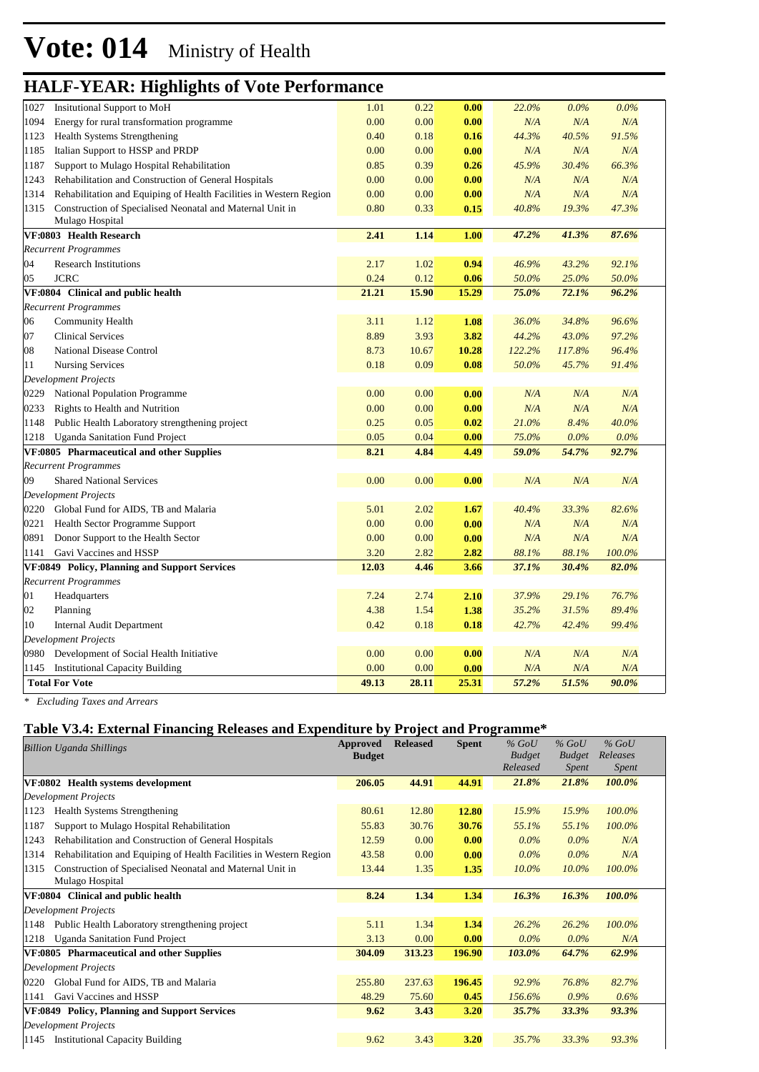|      | ပ                                                                  |       |       |       |        |         |         |  |
|------|--------------------------------------------------------------------|-------|-------|-------|--------|---------|---------|--|
| 1027 | <b>Insitutional Support to MoH</b>                                 | 1.01  | 0.22  | 0.00  | 22.0%  | $0.0\%$ | $0.0\%$ |  |
| 1094 | Energy for rural transformation programme                          | 0.00  | 0.00  | 0.00  | N/A    | N/A     | N/A     |  |
| 1123 | Health Systems Strengthening                                       | 0.40  | 0.18  | 0.16  | 44.3%  | 40.5%   | 91.5%   |  |
| 1185 | Italian Support to HSSP and PRDP                                   | 0.00  | 0.00  | 0.00  | N/A    | N/A     | N/A     |  |
| 1187 | Support to Mulago Hospital Rehabilitation                          | 0.85  | 0.39  | 0.26  | 45.9%  | 30.4%   | 66.3%   |  |
| 1243 | Rehabilitation and Construction of General Hospitals               | 0.00  | 0.00  | 0.00  | N/A    | N/A     | N/A     |  |
| 1314 | Rehabilitation and Equiping of Health Facilities in Western Region | 0.00  | 0.00  | 0.00  | N/A    | N/A     | N/A     |  |
| 1315 | Construction of Specialised Neonatal and Maternal Unit in          | 0.80  | 0.33  | 0.15  | 40.8%  | 19.3%   | 47.3%   |  |
|      | Mulago Hospital                                                    |       |       |       |        |         |         |  |
|      | VF:0803 Health Research                                            | 2.41  | 1.14  | 1.00  | 47.2%  | 41.3%   | 87.6%   |  |
|      | <b>Recurrent Programmes</b>                                        |       |       |       |        |         |         |  |
| 04   | <b>Research Institutions</b>                                       | 2.17  | 1.02  | 0.94  | 46.9%  | 43.2%   | 92.1%   |  |
| 05   | <b>JCRC</b>                                                        | 0.24  | 0.12  | 0.06  | 50.0%  | 25.0%   | 50.0%   |  |
|      | VF:0804 Clinical and public health                                 | 21.21 | 15.90 | 15.29 | 75.0%  | 72.1%   | 96.2%   |  |
|      | <b>Recurrent Programmes</b>                                        |       |       |       |        |         |         |  |
| 06   | Community Health                                                   | 3.11  | 1.12  | 1.08  | 36.0%  | 34.8%   | 96.6%   |  |
| 07   | <b>Clinical Services</b>                                           | 8.89  | 3.93  | 3.82  | 44.2%  | 43.0%   | 97.2%   |  |
| 08   | National Disease Control                                           | 8.73  | 10.67 | 10.28 | 122.2% | 117.8%  | 96.4%   |  |
| 11   | <b>Nursing Services</b>                                            | 0.18  | 0.09  | 0.08  | 50.0%  | 45.7%   | 91.4%   |  |
|      | <b>Development Projects</b>                                        |       |       |       |        |         |         |  |
| 0229 | National Population Programme                                      | 0.00  | 0.00  | 0.00  | N/A    | N/A     | N/A     |  |
| 0233 | Rights to Health and Nutrition                                     | 0.00  | 0.00  | 0.00  | N/A    | N/A     | N/A     |  |
| 1148 | Public Health Laboratory strengthening project                     | 0.25  | 0.05  | 0.02  | 21.0%  | 8.4%    | 40.0%   |  |
| 1218 | <b>Uganda Sanitation Fund Project</b>                              | 0.05  | 0.04  | 0.00  | 75.0%  | $0.0\%$ | $0.0\%$ |  |
|      | VF:0805 Pharmaceutical and other Supplies                          | 8.21  | 4.84  | 4.49  | 59.0%  | 54.7%   | 92.7%   |  |
|      | <b>Recurrent Programmes</b>                                        |       |       |       |        |         |         |  |
| 09   | <b>Shared National Services</b>                                    | 0.00  | 0.00  | 0.00  | N/A    | N/A     | N/A     |  |
|      | Development Projects                                               |       |       |       |        |         |         |  |
| 0220 | Global Fund for AIDS, TB and Malaria                               | 5.01  | 2.02  | 1.67  | 40.4%  | 33.3%   | 82.6%   |  |
| 0221 | Health Sector Programme Support                                    | 0.00  | 0.00  | 0.00  | N/A    | N/A     | N/A     |  |
| 0891 | Donor Support to the Health Sector                                 | 0.00  | 0.00  | 0.00  | N/A    | N/A     | N/A     |  |
| 1141 | Gavi Vaccines and HSSP                                             | 3.20  | 2.82  | 2.82  | 88.1%  | 88.1%   | 100.0%  |  |
|      | VF:0849 Policy, Planning and Support Services                      | 12.03 | 4.46  | 3.66  | 37.1%  | 30.4%   | 82.0%   |  |
|      | <b>Recurrent Programmes</b>                                        |       |       |       |        |         |         |  |
| 01   | Headquarters                                                       | 7.24  | 2.74  | 2.10  | 37.9%  | 29.1%   | 76.7%   |  |
| 02   | Planning                                                           | 4.38  | 1.54  | 1.38  | 35.2%  | 31.5%   | 89.4%   |  |
| 10   | <b>Internal Audit Department</b>                                   | 0.42  | 0.18  | 0.18  | 42.7%  | 42.4%   | 99.4%   |  |
|      | Development Projects                                               |       |       |       |        |         |         |  |
| 0980 | Development of Social Health Initiative                            | 0.00  | 0.00  | 0.00  | N/A    | N/A     | N/A     |  |
| 1145 | <b>Institutional Capacity Building</b>                             | 0.00  | 0.00  | 0.00  | N/A    | N/A     | N/A     |  |
|      | <b>Total For Vote</b>                                              | 49.13 | 28.11 | 25.31 | 57.2%  | 51.5%   | 90.0%   |  |

*\* Excluding Taxes and Arrears*

#### **Table V3.4: External Financing Releases and Expenditure by Project and Programme\***

|      | <b>Billion Uganda Shillings</b>                                    | Approved      | <b>Released</b> | <b>Spent</b> | $%$ GoU       | $%$ GoU       | $%$ GoU      |  |
|------|--------------------------------------------------------------------|---------------|-----------------|--------------|---------------|---------------|--------------|--|
|      |                                                                    | <b>Budget</b> |                 |              | <b>Budget</b> | <b>Budget</b> | Releases     |  |
|      |                                                                    |               |                 |              | Released      | <i>Spent</i>  | <i>Spent</i> |  |
|      | VF:0802 Health systems development                                 | 206.05        | 44.91           | 44.91        | 21.8%         | 21.8%         | 100.0%       |  |
|      | <b>Development Projects</b>                                        |               |                 |              |               |               |              |  |
| 1123 | <b>Health Systems Strengthening</b>                                | 80.61         | 12.80           | 12.80        | 15.9%         | 15.9%         | 100.0%       |  |
| 1187 | Support to Mulago Hospital Rehabilitation                          | 55.83         | 30.76           | 30.76        | 55.1%         | 55.1%         | 100.0%       |  |
| 1243 | Rehabilitation and Construction of General Hospitals               | 12.59         | 0.00            | 0.00         | $0.0\%$       | $0.0\%$       | N/A          |  |
| 1314 | Rehabilitation and Equiping of Health Facilities in Western Region | 43.58         | 0.00            | 0.00         | $0.0\%$       | $0.0\%$       | N/A          |  |
| 1315 | Construction of Specialised Neonatal and Maternal Unit in          | 13.44         | 1.35            | 1.35         | $10.0\%$      | $10.0\%$      | 100.0%       |  |
|      | Mulago Hospital                                                    |               |                 |              |               |               |              |  |
|      | VF:0804 Clinical and public health                                 | 8.24          | 1.34            | 1.34         | 16.3%         | 16.3%         | 100.0%       |  |
|      | <b>Development Projects</b>                                        |               |                 |              |               |               |              |  |
| 1148 | Public Health Laboratory strengthening project                     | 5.11          | 1.34            | 1.34         | 26.2%         | 26.2%         | 100.0%       |  |
| 1218 | <b>Uganda Sanitation Fund Project</b>                              | 3.13          | 0.00            | 0.00         | $0.0\%$       | $0.0\%$       | N/A          |  |
|      | VF:0805 Pharmaceutical and other Supplies                          | 304.09        | 313.23          | 196.90       | 103.0%        | 64.7%         | 62.9%        |  |
|      | <b>Development Projects</b>                                        |               |                 |              |               |               |              |  |
| 0220 | Global Fund for AIDS, TB and Malaria                               | 255.80        | 237.63          | 196.45       | 92.9%         | 76.8%         | 82.7%        |  |
| 1141 | Gavi Vaccines and HSSP                                             | 48.29         | 75.60           | 0.45         | 156.6%        | $0.9\%$       | 0.6%         |  |
|      | VF:0849 Policy, Planning and Support Services                      | 9.62          | 3.43            | 3.20         | 35.7%         | 33.3%         | 93.3%        |  |
|      | <b>Development Projects</b>                                        |               |                 |              |               |               |              |  |
| 1145 | <b>Institutional Capacity Building</b>                             | 9.62          | 3.43            | 3.20         | 35.7%         | 33.3%         | 93.3%        |  |